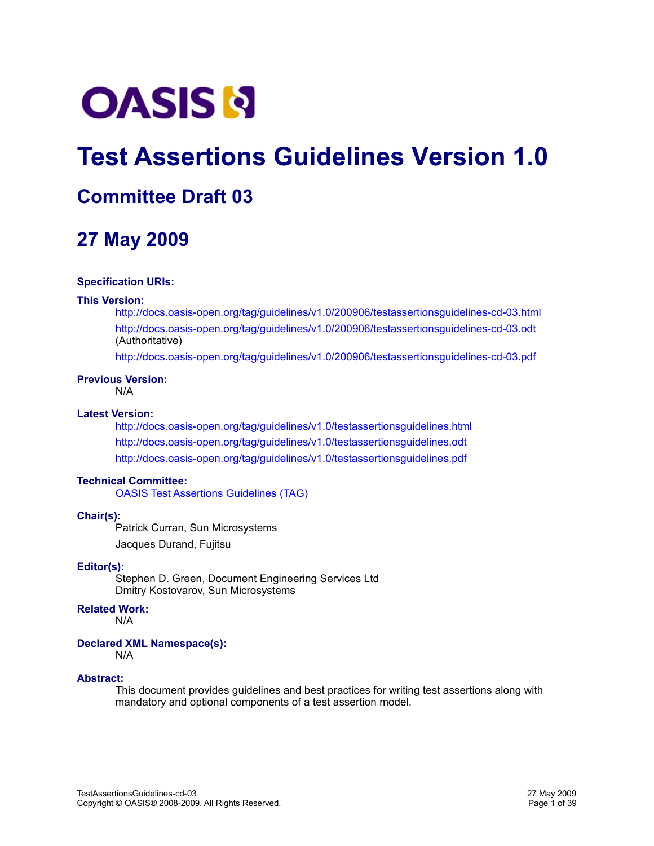

# **Test Assertions Guidelines Version 1.0**

# **Committee Draft 03**

# **27 May 2009**

#### **Specification URIs:**

#### **This Version:**

<http://docs.oasis-open.org/tag/guidelines/v1.0/200906/testassertionsguidelines-cd-03.html> <http://docs.oasis-open.org/tag/guidelines/v1.0/200906/testassertionsguidelines-cd-03.odt> (Authoritative)

<http://docs.oasis-open.org/tag/guidelines/v1.0/200906/testassertionsguidelines-cd-03.pdf>

### **Previous Version:**

N/A

#### **Latest Version:**

<http://docs.oasis-open.org/tag/guidelines/v1.0/testassertionsguidelines.html> <http://docs.oasis-open.org/tag/guidelines/v1.0/testassertionsguidelines.odt> <http://docs.oasis-open.org/tag/guidelines/v1.0/testassertionsguidelines.pdf>

#### **Technical Committee:**

[OASIS Test Assertions Guidelines \(TAG\)](http://www.oasis-open.org/committees/tag/)

#### **Chair(s):**

Patrick Curran, Sun Microsystems Jacques Durand, Fujitsu

#### **Editor(s):**

Stephen D. Green, Document Engineering Services Ltd Dmitry Kostovarov, Sun Microsystems

#### **Related Work:**

N/A

#### **Declared XML Namespace(s):**

N/A

#### **Abstract:**

This document provides guidelines and best practices for writing test assertions along with mandatory and optional components of a test assertion model.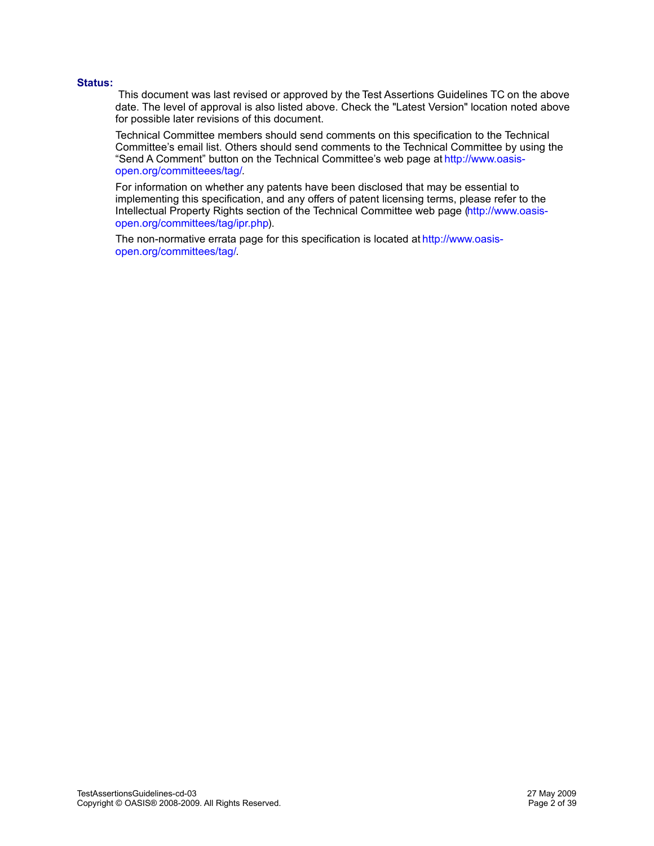#### **Status:**

 This document was last revised or approved by the Test Assertions Guidelines TC on the above date. The level of approval is also listed above. Check the "Latest Version" location noted above for possible later revisions of this document.

Technical Committee members should send comments on this specification to the Technical Committee's email list. Others should send comments to the Technical Committee by using the "Send A Comment" button on the Technical Committee's web page at [http://www.oasis](http://www.oasis-open.org/committeees/tag/)[open.org/committeees/tag/.](http://www.oasis-open.org/committeees/tag/)

For information on whether any patents have been disclosed that may be essential to implementing this specification, and any offers of patent licensing terms, please refer to the Intellectual Property Rights section of the Technical Committee web page [\(http://www.oasis](http://www.oasis-open.org/committees/tag/ipr.php)[open.org/committees/tag/ipr.php\)](http://www.oasis-open.org/committees/tag/ipr.php).

The non-normative errata page for this specification is located at [http://www.oasis](http://www.oasis-open.org/committees/tag/)[open.org/committees/tag/.](http://www.oasis-open.org/committees/tag/)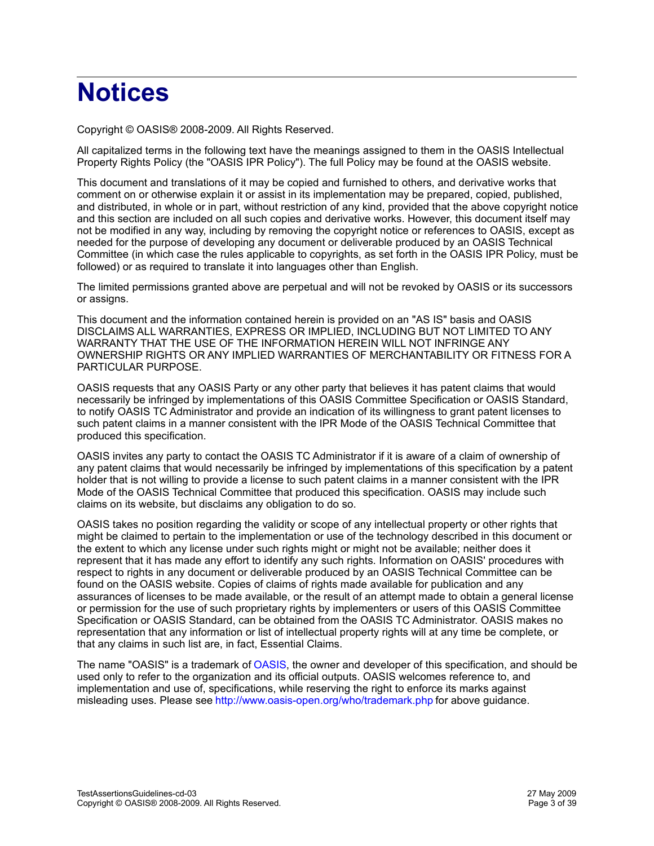# **Notices**

Copyright © OASIS® 2008-2009. All Rights Reserved.

All capitalized terms in the following text have the meanings assigned to them in the OASIS Intellectual Property Rights Policy (the "OASIS IPR Policy"). The full Policy may be found at the OASIS website.

This document and translations of it may be copied and furnished to others, and derivative works that comment on or otherwise explain it or assist in its implementation may be prepared, copied, published, and distributed, in whole or in part, without restriction of any kind, provided that the above copyright notice and this section are included on all such copies and derivative works. However, this document itself may not be modified in any way, including by removing the copyright notice or references to OASIS, except as needed for the purpose of developing any document or deliverable produced by an OASIS Technical Committee (in which case the rules applicable to copyrights, as set forth in the OASIS IPR Policy, must be followed) or as required to translate it into languages other than English.

The limited permissions granted above are perpetual and will not be revoked by OASIS or its successors or assigns.

This document and the information contained herein is provided on an "AS IS" basis and OASIS DISCLAIMS ALL WARRANTIES, EXPRESS OR IMPLIED, INCLUDING BUT NOT LIMITED TO ANY WARRANTY THAT THE USE OF THE INFORMATION HEREIN WILL NOT INFRINGE ANY OWNERSHIP RIGHTS OR ANY IMPLIED WARRANTIES OF MERCHANTABILITY OR FITNESS FOR A PARTICULAR PURPOSE.

OASIS requests that any OASIS Party or any other party that believes it has patent claims that would necessarily be infringed by implementations of this OASIS Committee Specification or OASIS Standard, to notify OASIS TC Administrator and provide an indication of its willingness to grant patent licenses to such patent claims in a manner consistent with the IPR Mode of the OASIS Technical Committee that produced this specification.

OASIS invites any party to contact the OASIS TC Administrator if it is aware of a claim of ownership of any patent claims that would necessarily be infringed by implementations of this specification by a patent holder that is not willing to provide a license to such patent claims in a manner consistent with the IPR Mode of the OASIS Technical Committee that produced this specification. OASIS may include such claims on its website, but disclaims any obligation to do so.

OASIS takes no position regarding the validity or scope of any intellectual property or other rights that might be claimed to pertain to the implementation or use of the technology described in this document or the extent to which any license under such rights might or might not be available; neither does it represent that it has made any effort to identify any such rights. Information on OASIS' procedures with respect to rights in any document or deliverable produced by an OASIS Technical Committee can be found on the OASIS website. Copies of claims of rights made available for publication and any assurances of licenses to be made available, or the result of an attempt made to obtain a general license or permission for the use of such proprietary rights by implementers or users of this OASIS Committee Specification or OASIS Standard, can be obtained from the OASIS TC Administrator. OASIS makes no representation that any information or list of intellectual property rights will at any time be complete, or that any claims in such list are, in fact, Essential Claims.

The name "OASIS" is a trademark of [OASIS,](http://www.oasis-open.org/) the owner and developer of this specification, and should be used only to refer to the organization and its official outputs. OASIS welcomes reference to, and implementation and use of, specifications, while reserving the right to enforce its marks against misleading uses. Please see<http://www.oasis-open.org/who/trademark.php>for above guidance.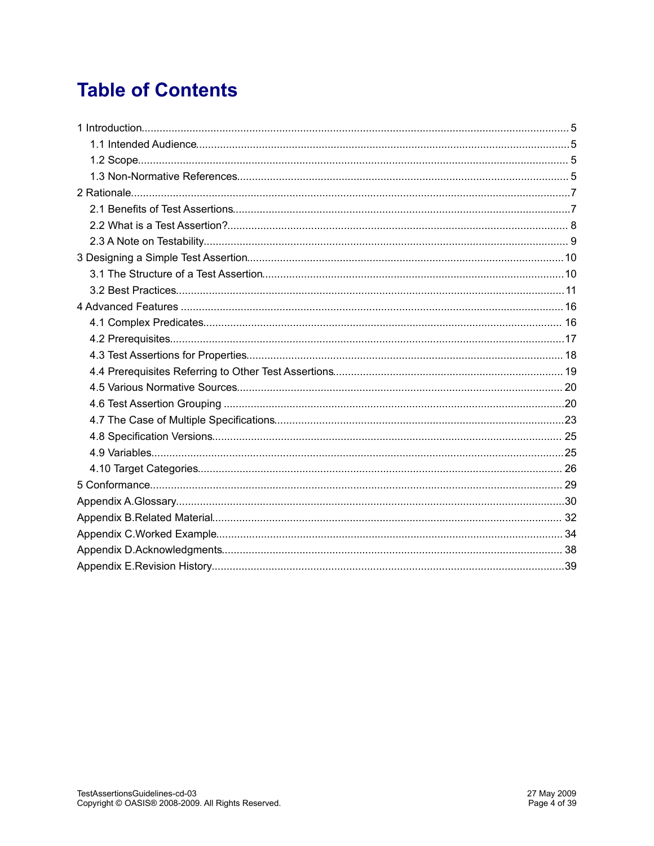# **Table of Contents**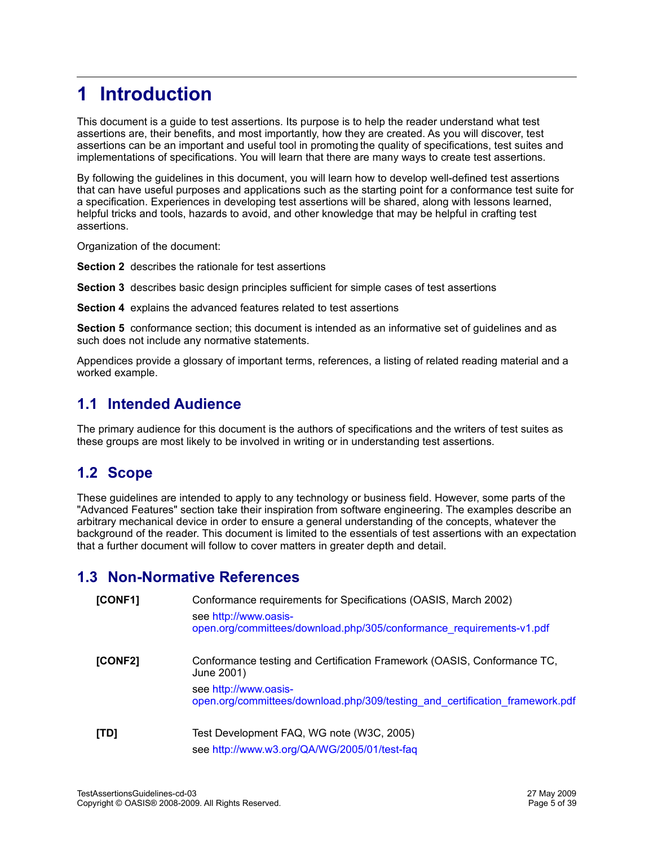# **1 Introduction**

This document is a guide to test assertions. Its purpose is to help the reader understand what test assertions are, their benefits, and most importantly, how they are created. As you will discover, test assertions can be an important and useful tool in promoting the quality of specifications, test suites and implementations of specifications. You will learn that there are many ways to create test assertions.

By following the guidelines in this document, you will learn how to develop well-defined test assertions that can have useful purposes and applications such as the starting point for a conformance test suite for a specification. Experiences in developing test assertions will be shared, along with lessons learned, helpful tricks and tools, hazards to avoid, and other knowledge that may be helpful in crafting test assertions.

Organization of the document:

**Section 2** describes the rationale for test assertions

**Section 3** describes basic design principles sufficient for simple cases of test assertions

**Section 4** explains the advanced features related to test assertions

**Section 5** conformance section; this document is intended as an informative set of guidelines and as such does not include any normative statements.

Appendices provide a glossary of important terms, references, a listing of related reading material and a worked example.

## **1.1 Intended Audience**

The primary audience for this document is the authors of specifications and the writers of test suites as these groups are most likely to be involved in writing or in understanding test assertions.

## **1.2 Scope**

These guidelines are intended to apply to any technology or business field. However, some parts of the "Advanced Features" section take their inspiration from software engineering. The examples describe an arbitrary mechanical device in order to ensure a general understanding of the concepts, whatever the background of the reader. This document is limited to the essentials of test assertions with an expectation that a further document will follow to cover matters in greater depth and detail.

# **1.3 Non-Normative References**

| [CONF1] | Conformance requirements for Specifications (OASIS, March 2002)<br>see http://www.oasis-<br>open.org/committees/download.php/305/conformance_requirements-v1.pdf |
|---------|------------------------------------------------------------------------------------------------------------------------------------------------------------------|
| [CONF2] | Conformance testing and Certification Framework (OASIS, Conformance TC,<br>June 2001)                                                                            |
|         | see http://www.oasis-<br>open.org/committees/download.php/309/testing_and_certification_framework.pdf                                                            |
| [TD]    | Test Development FAQ, WG note (W3C, 2005)                                                                                                                        |
|         | see http://www.w3.org/QA/WG/2005/01/test-faq                                                                                                                     |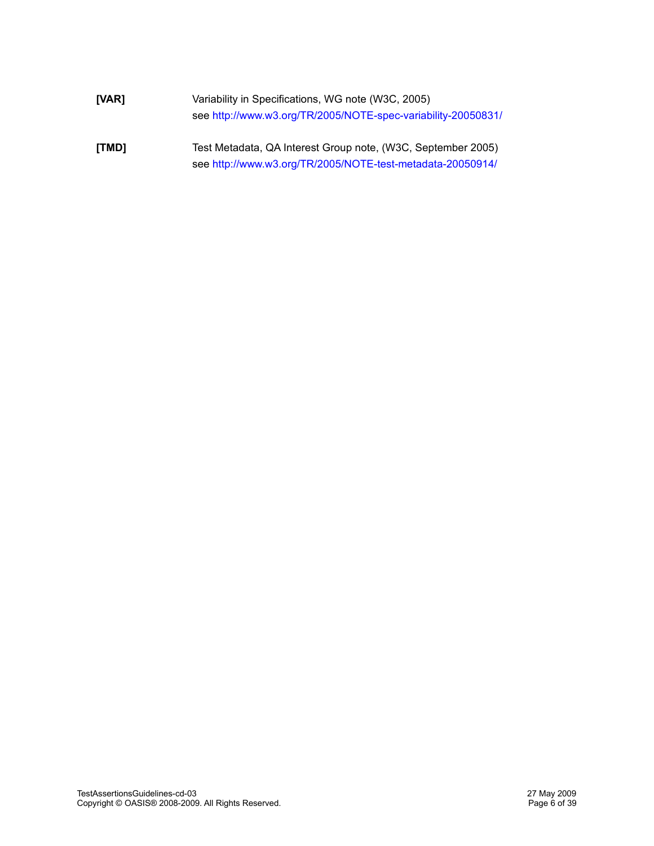| [VAR] | Variability in Specifications, WG note (W3C, 2005)<br>see http://www.w3.org/TR/2005/NOTE-spec-variability-20050831/        |
|-------|----------------------------------------------------------------------------------------------------------------------------|
| [TMD] | Test Metadata, QA Interest Group note, (W3C, September 2005)<br>see http://www.w3.org/TR/2005/NOTE-test-metadata-20050914/ |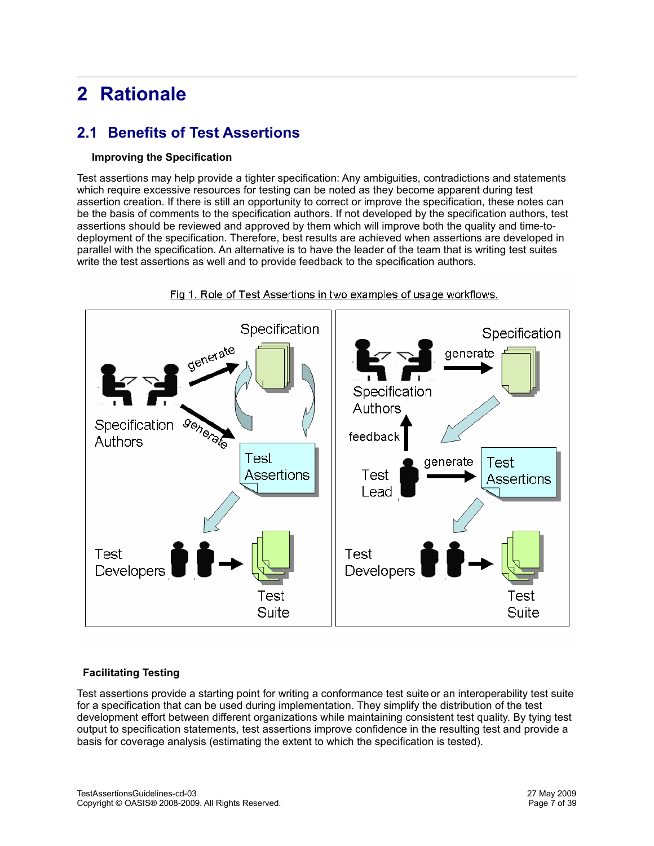# **2 Rationale**

# **2.1 Benefits of Test Assertions**

#### **Improving the Specification**

Test assertions may help provide a tighter specification: Any ambiguities, contradictions and statements which require excessive resources for testing can be noted as they become apparent during test assertion creation. If there is still an opportunity to correct or improve the specification, these notes can be the basis of comments to the specification authors. If not developed by the specification authors, test assertions should be reviewed and approved by them which will improve both the quality and time-todeployment of the specification. Therefore, best results are achieved when assertions are developed in parallel with the specification. An alternative is to have the leader of the team that is writing test suites write the test assertions as well and to provide feedback to the specification authors.



Fig 1. Role of Test Assertions in two examples of usage workflows.

#### **Facilitating Testing**

Test assertions provide a starting point for writing a conformance test suite or an interoperability test suite for a specification that can be used during implementation. They simplify the distribution of the test development effort between different organizations while maintaining consistent test quality. By tying test output to specification statements, test assertions improve confidence in the resulting test and provide a basis for coverage analysis (estimating the extent to which the specification is tested).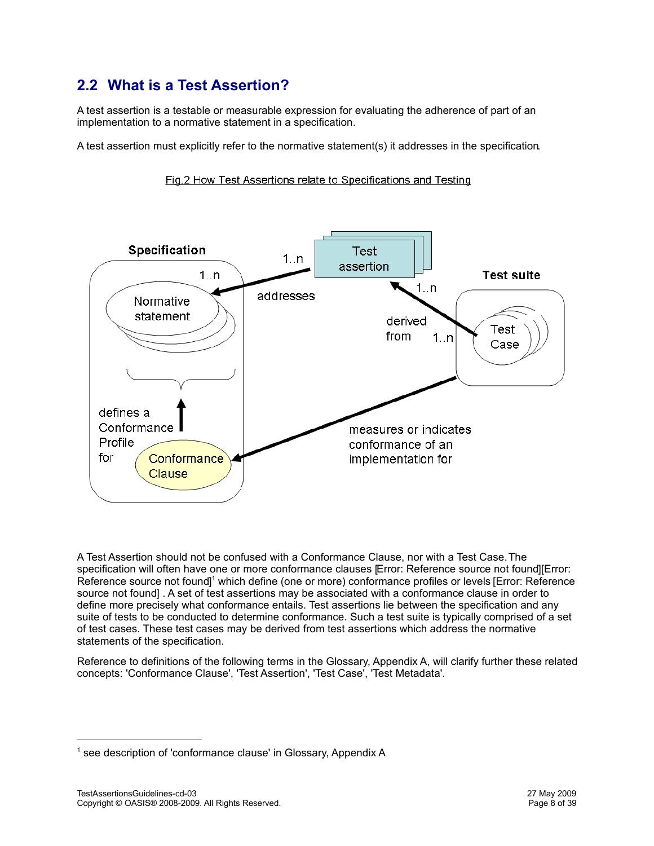# **2.2 What is a Test Assertion?**

A test assertion is a testable or measurable expression for evaluating the adherence of part of an implementation to a normative statement in a specification.

A test assertion must explicitly refer to the normative statement(s) it addresses in the specification.



Fig.2 How Test Assertions relate to Specifications and Testing

<span id="page-7-2"></span><span id="page-7-1"></span><span id="page-7-0"></span>A Test Assertion should not be confused with a Conformance Clause, nor with a Test Case. The specification will often have one or more conformance clauses [\[Error: Reference source not found\]](#page-7-0)[\[Error:](#page-7-2) [Reference source not found\]](#page-7-2)<sup>[1](#page-7-3)</sup> which define (one or more) conformance profiles or levels [\[Error: Reference](#page-7-1) [source not found\]](#page-7-1) . A set of test assertions may be associated with a conformance clause in order to define more precisely what conformance entails. Test assertions lie between the specification and any suite of tests to be conducted to determine conformance. Such a test suite is typically comprised of a set of test cases. These test cases may be derived from test assertions which address the normative statements of the specification.

Reference to definitions of the following terms in the Glossary, Appendix A, will clarify further these related concepts: 'Conformance Clause', 'Test Assertion', 'Test Case', 'Test Metadata'.

<span id="page-7-3"></span><sup>&</sup>lt;sup>1</sup> see description of 'conformance clause' in Glossary, Appendix A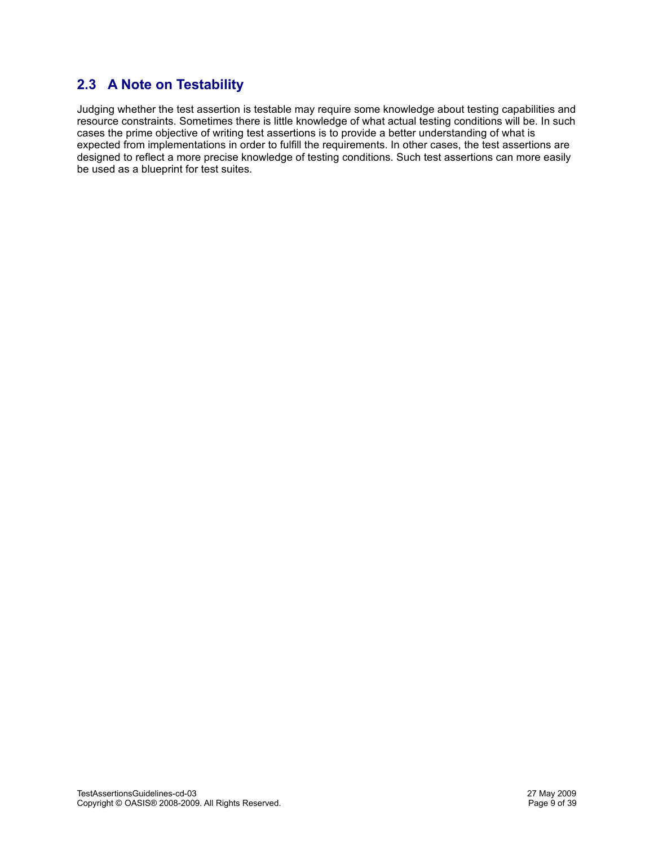# **2.3 A Note on Testability**

Judging whether the test assertion is testable may require some knowledge about testing capabilities and resource constraints. Sometimes there is little knowledge of what actual testing conditions will be. In such cases the prime objective of writing test assertions is to provide a better understanding of what is expected from implementations in order to fulfill the requirements. In other cases, the test assertions are designed to reflect a more precise knowledge of testing conditions. Such test assertions can more easily be used as a blueprint for test suites.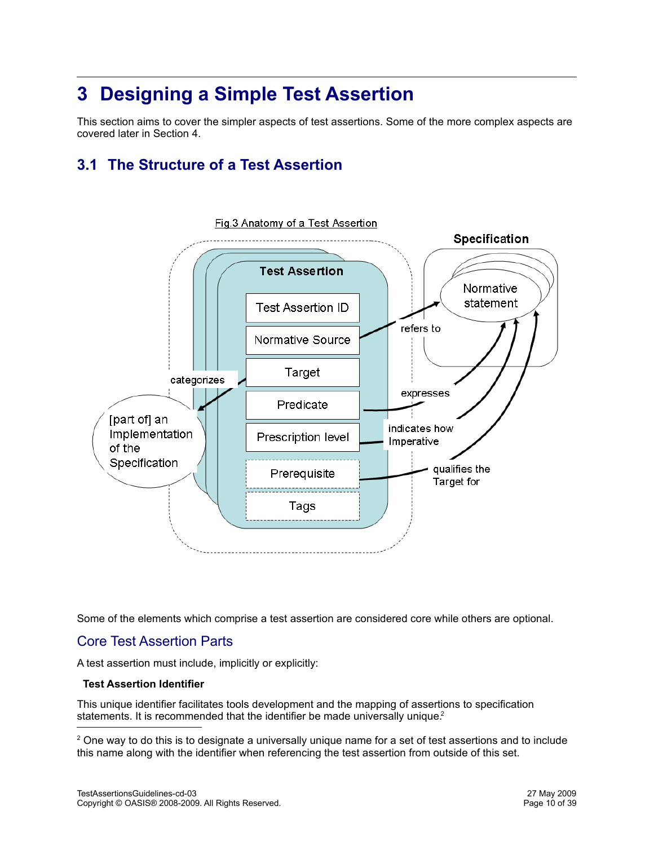# **3 Designing a Simple Test Assertion**

This section aims to cover the simpler aspects of test assertions. Some of the more complex aspects are covered later in Section 4.

# **3.1 The Structure of a Test Assertion**



Some of the elements which comprise a test assertion are considered core while others are optional.

## Core Test Assertion Parts

A test assertion must include, implicitly or explicitly:

#### **Test Assertion Identifier**

This unique identifier facilitates tools development and the mapping of assertions to specification statements[.](#page-9-0) It is recommended that the identifier be made universally unique.<sup>2</sup>

<span id="page-9-0"></span><sup>&</sup>lt;sup>2</sup> One way to do this is to designate a universally unique name for a set of test assertions and to include this name along with the identifier when referencing the test assertion from outside of this set.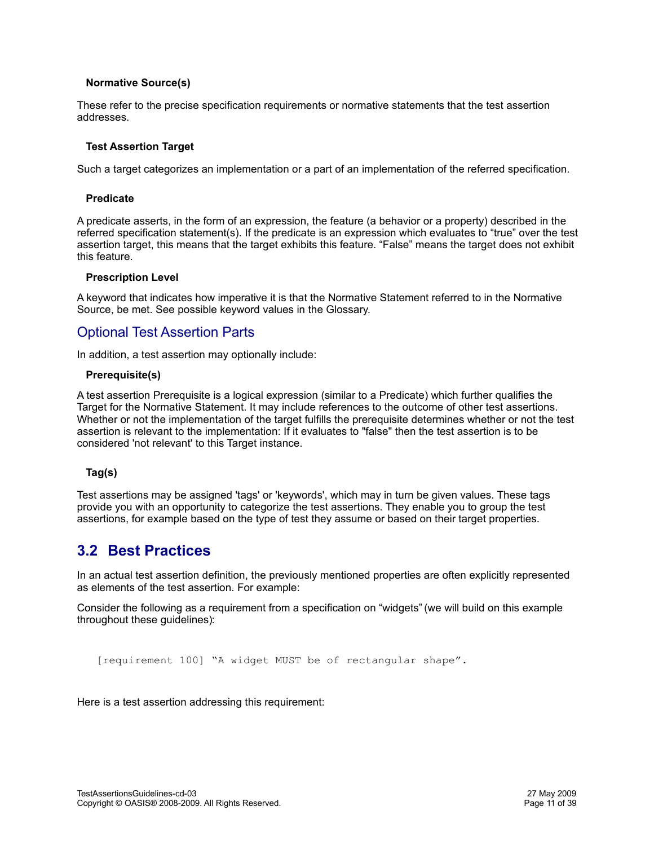#### **Normative Source(s)**

These refer to the precise specification requirements or normative statements that the test assertion addresses.

#### **Test Assertion Target**

Such a target categorizes an implementation or a part of an implementation of the referred specification.

#### **Predicate**

A predicate asserts, in the form of an expression, the feature (a behavior or a property) described in the referred specification statement(s). If the predicate is an expression which evaluates to "true" over the test assertion target, this means that the target exhibits this feature. "False" means the target does not exhibit this feature.

#### **Prescription Level**

A keyword that indicates how imperative it is that the Normative Statement referred to in the Normative Source, be met. See possible keyword values in the Glossary.

### Optional Test Assertion Parts

In addition, a test assertion may optionally include:

#### **Prerequisite(s)**

A test assertion Prerequisite is a logical expression (similar to a Predicate) which further qualifies the Target for the Normative Statement. It may include references to the outcome of other test assertions. Whether or not the implementation of the target fulfills the prerequisite determines whether or not the test assertion is relevant to the implementation: If it evaluates to "false" then the test assertion is to be considered 'not relevant' to this Target instance.

#### **Tag(s)**

Test assertions may be assigned 'tags' or 'keywords', which may in turn be given values. These tags provide you with an opportunity to categorize the test assertions. They enable you to group the test assertions, for example based on the type of test they assume or based on their target properties.

# **3.2 Best Practices**

In an actual test assertion definition, the previously mentioned properties are often explicitly represented as elements of the test assertion. For example:

Consider the following as a requirement from a specification on "widgets" (we will build on this example throughout these guidelines):

[requirement 100] "A widget MUST be of rectangular shape".

Here is a test assertion addressing this requirement: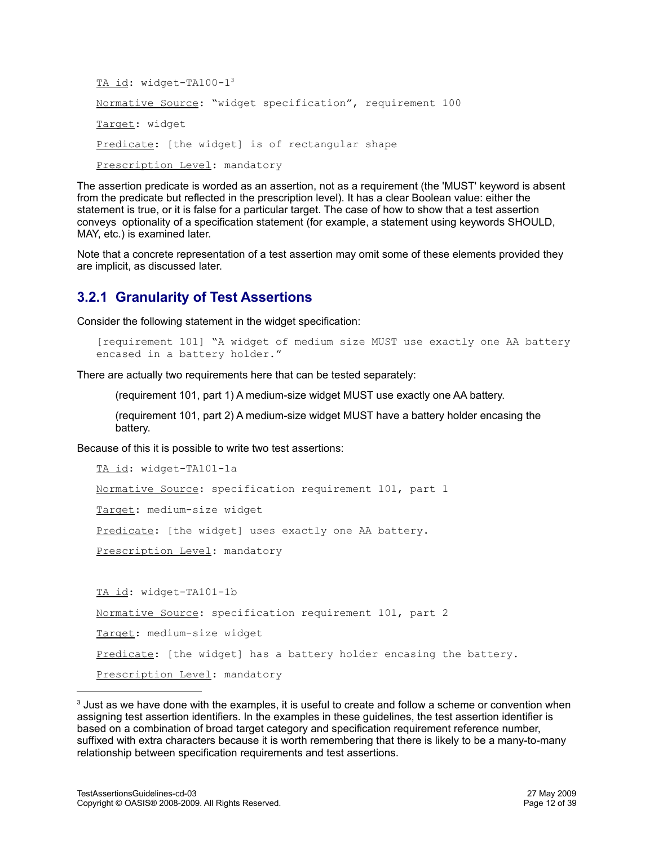```
3
Normative Source: "widget specification", requirement 100
Target: widget
Predicate: [the widget] is of rectangular shape
Prescription Level: mandatory
```
The assertion predicate is worded as an assertion, not as a requirement (the 'MUST' keyword is absent from the predicate but reflected in the prescription level). It has a clear Boolean value: either the statement is true, or it is false for a particular target. The case of how to show that a test assertion conveys optionality of a specification statement (for example, a statement using keywords SHOULD, MAY, etc.) is examined later.

Note that a concrete representation of a test assertion may omit some of these elements provided they are implicit, as discussed later.

## **3.2.1 Granularity of Test Assertions**

Consider the following statement in the widget specification:

```
[requirement 101] "A widget of medium size MUST use exactly one AA battery
encased in a battery holder."
```
There are actually two requirements here that can be tested separately:

(requirement 101, part 1) A medium-size widget MUST use exactly one AA battery.

(requirement 101, part 2) A medium-size widget MUST have a battery holder encasing the battery.

Because of this it is possible to write two test assertions:

```
TA id: widget-TA101-1a
Normative Source: specification requirement 101, part 1
Target: medium-size widget
Predicate: [the widget] uses exactly one AA battery.
Prescription Level: mandatory
TA id: widget-TA101-1b
Normative Source: specification requirement 101, part 2
Target: medium-size widget
Predicate: [the widget] has a battery holder encasing the battery.
```
Prescription Level: mandatory

<span id="page-11-0"></span> $3$  Just as we have done with the examples, it is useful to create and follow a scheme or convention when assigning test assertion identifiers. In the examples in these guidelines, the test assertion identifier is based on a combination of broad target category and specification requirement reference number, suffixed with extra characters because it is worth remembering that there is likely to be a many-to-many relationship between specification requirements and test assertions.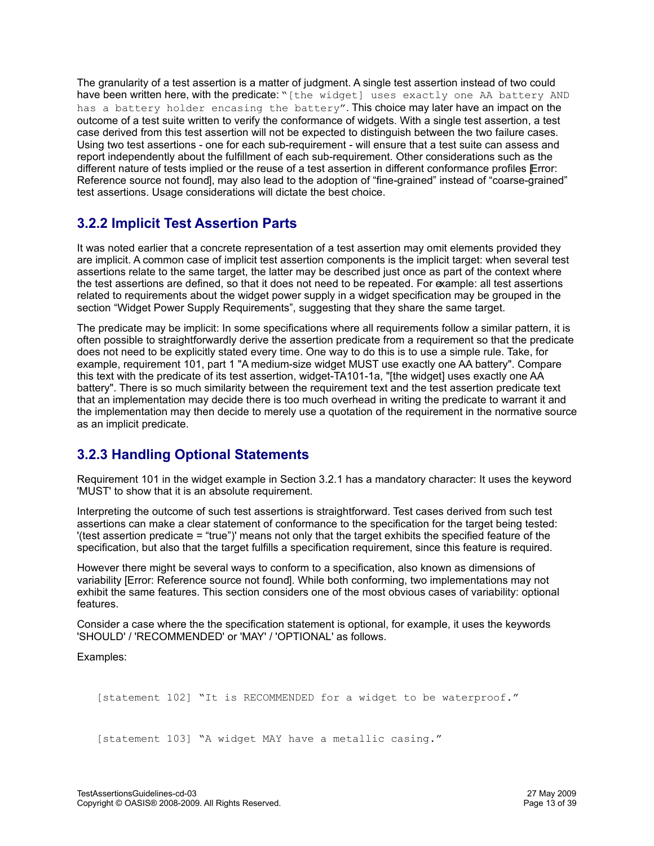The granularity of a test assertion is a matter of judgment. A single test assertion instead of two could have been written here, with the predicate: "[the widget] uses exactly one AA battery AND has a battery holder encasing the battery". This choice may later have an impact on the outcome of a test suite written to verify the conformance of widgets. With a single test assertion, a test case derived from this test assertion will not be expected to distinguish between the two failure cases. Using two test assertions - one for each sub-requirement - will ensure that a test suite can assess and report independently about the fulfillment of each sub-requirement. Other considerations such as the different nature of tests implied or the reuse of a test assertion in different conformance profiles Error: [Reference source not found\]](#page-12-1), may also lead to the adoption of "fine-grained" instead of "coarse-grained" test assertions. Usage considerations will dictate the best choice.

# <span id="page-12-1"></span>**3.2.2 Implicit Test Assertion Parts**

It was noted earlier that a concrete representation of a test assertion may omit elements provided they are implicit. A common case of implicit test assertion components is the implicit target: when several test assertions relate to the same target, the latter may be described just once as part of the context where the test assertions are defined, so that it does not need to be repeated. For example: all test assertions related to requirements about the widget power supply in a widget specification may be grouped in the section "Widget Power Supply Requirements", suggesting that they share the same target.

The predicate may be implicit: In some specifications where all requirements follow a similar pattern, it is often possible to straightforwardly derive the assertion predicate from a requirement so that the predicate does not need to be explicitly stated every time. One way to do this is to use a simple rule. Take, for example, requirement 101, part 1 "A medium-size widget MUST use exactly one AA battery". Compare this text with the predicate of its test assertion, widget-TA101-1a, "[the widget] uses exactly one AA battery". There is so much similarity between the requirement text and the test assertion predicate text that an implementation may decide there is too much overhead in writing the predicate to warrant it and the implementation may then decide to merely use a quotation of the requirement in the normative source as an implicit predicate.

# **3.2.3 Handling Optional Statements**

Requirement 101 in the widget example in Section 3.2.1 has a mandatory character: It uses the keyword 'MUST' to show that it is an absolute requirement.

Interpreting the outcome of such test assertions is straightforward. Test cases derived from such test assertions can make a clear statement of conformance to the specification for the target being tested: '(test assertion predicate = "true")' means not only that the target exhibits the specified feature of the specification, but also that the target fulfills a specification requirement, since this feature is required.

<span id="page-12-0"></span>However there might be several ways to conform to a specification, also known as dimensions of variability [\[Error: Reference source not found\]](#page-12-0). While both conforming, two implementations may not exhibit the same features. This section considers one of the most obvious cases of variability: optional features.

Consider a case where the the specification statement is optional, for example, it uses the keywords 'SHOULD' / 'RECOMMENDED' or 'MAY' / 'OPTIONAL' as follows.

Examples:

[statement 102] "It is RECOMMENDED for a widget to be waterproof."

[statement 103] "A widget MAY have a metallic casing."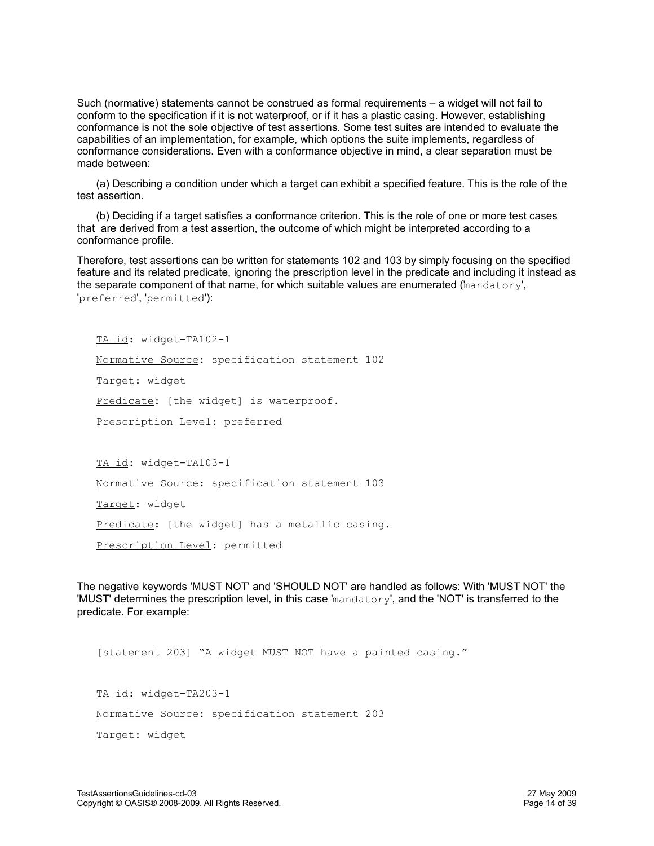Such (normative) statements cannot be construed as formal requirements – a widget will not fail to conform to the specification if it is not waterproof, or if it has a plastic casing. However, establishing conformance is not the sole objective of test assertions. Some test suites are intended to evaluate the capabilities of an implementation, for example, which options the suite implements, regardless of conformance considerations. Even with a conformance objective in mind, a clear separation must be made between:

(a) Describing a condition under which a target can exhibit a specified feature. This is the role of the test assertion.

(b) Deciding if a target satisfies a conformance criterion. This is the role of one or more test cases that are derived from a test assertion, the outcome of which might be interpreted according to a conformance profile.

Therefore, test assertions can be written for statements 102 and 103 by simply focusing on the specified feature and its related predicate, ignoring the prescription level in the predicate and including it instead as the separate component of that name, for which suitable values are enumerated ('mandatory', 'preferred', 'permitted'):

TA id: widget-TA102-1

Normative Source: specification statement 102

Target: widget

Predicate: [the widget] is waterproof.

Prescription Level: preferred

TA id: widget-TA103-1

Normative Source: specification statement 103

Target: widget

Predicate: [the widget] has a metallic casing.

Prescription Level: permitted

The negative keywords 'MUST NOT' and 'SHOULD NOT' are handled as follows: With 'MUST NOT' the 'MUST' determines the prescription level, in this case 'mandatory', and the 'NOT' is transferred to the predicate. For example:

[statement 203] "A widget MUST NOT have a painted casing."

TA id: widget-TA203-1 Normative Source: specification statement 203 Target: widget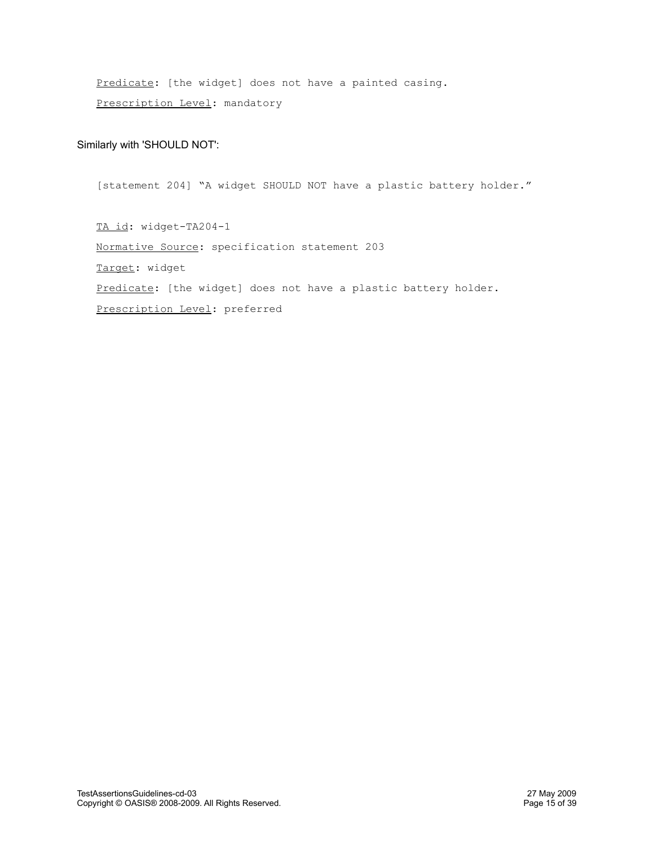Predicate: [the widget] does not have a painted casing. Prescription Level: mandatory

#### Similarly with 'SHOULD NOT':

[statement 204] "A widget SHOULD NOT have a plastic battery holder."

TA id: widget-TA204-1 Normative Source: specification statement 203 Target: widget Predicate: [the widget] does not have a plastic battery holder. Prescription Level: preferred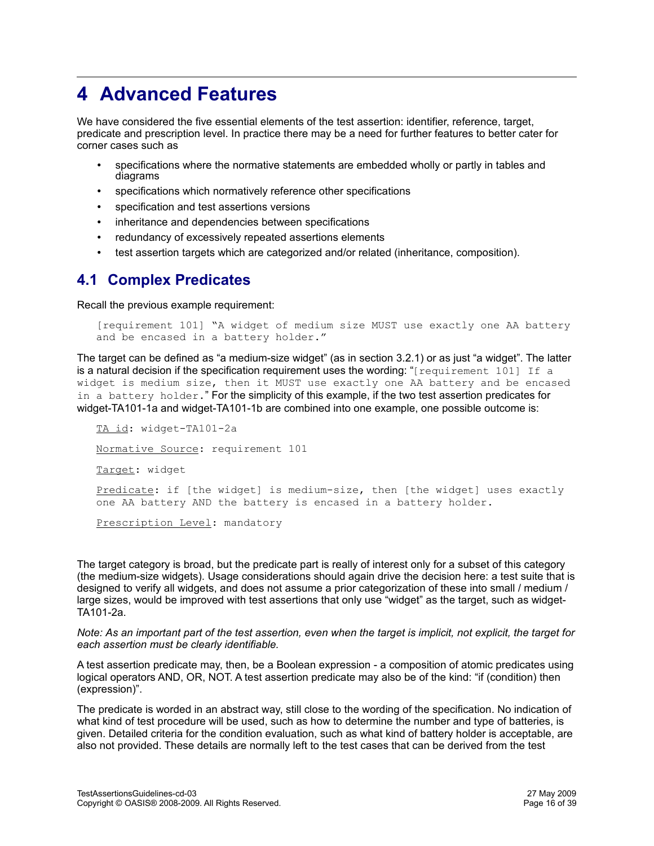# **4 Advanced Features**

We have considered the five essential elements of the test assertion: identifier, reference, target, predicate and prescription level. In practice there may be a need for further features to better cater for corner cases such as

- specifications where the normative statements are embedded wholly or partly in tables and diagrams
- specifications which normatively reference other specifications
- specification and test assertions versions
- inheritance and dependencies between specifications
- redundancy of excessively repeated assertions elements
- test assertion targets which are categorized and/or related (inheritance, composition).

# **4.1 Complex Predicates**

Recall the previous example requirement:

```
[requirement 101] "A widget of medium size MUST use exactly one AA battery
and be encased in a battery holder."
```
The target can be defined as "a medium-size widget" (as in section 3.2.1) or as just "a widget". The latter is a natural decision if the specification requirement uses the wording: " $[regular terment 101]$  If a widget is medium size, then it MUST use exactly one AA battery and be encased in a battery holder." For the simplicity of this example, if the two test assertion predicates for widget-TA101-1a and widget-TA101-1b are combined into one example, one possible outcome is:

TA id: widget-TA101-2a Normative Source: requirement 101 Target: widget Predicate: if [the widget] is medium-size, then [the widget] uses exactly one AA battery AND the battery is encased in a battery holder. Prescription Level: mandatory

The target category is broad, but the predicate part is really of interest only for a subset of this category (the medium-size widgets). Usage considerations should again drive the decision here: a test suite that is designed to verify all widgets, and does not assume a prior categorization of these into small / medium / large sizes, would be improved with test assertions that only use "widget" as the target, such as widget-TA101-2a.

*Note: As an important part of the test assertion, even when the target is implicit, not explicit, the target for each assertion must be clearly identifiable.* 

A test assertion predicate may, then, be a Boolean expression - a composition of atomic predicates using logical operators AND, OR, NOT. A test assertion predicate may also be of the kind: "if (condition) then (expression)".

The predicate is worded in an abstract way, still close to the wording of the specification. No indication of what kind of test procedure will be used, such as how to determine the number and type of batteries, is given. Detailed criteria for the condition evaluation, such as what kind of battery holder is acceptable, are also not provided. These details are normally left to the test cases that can be derived from the test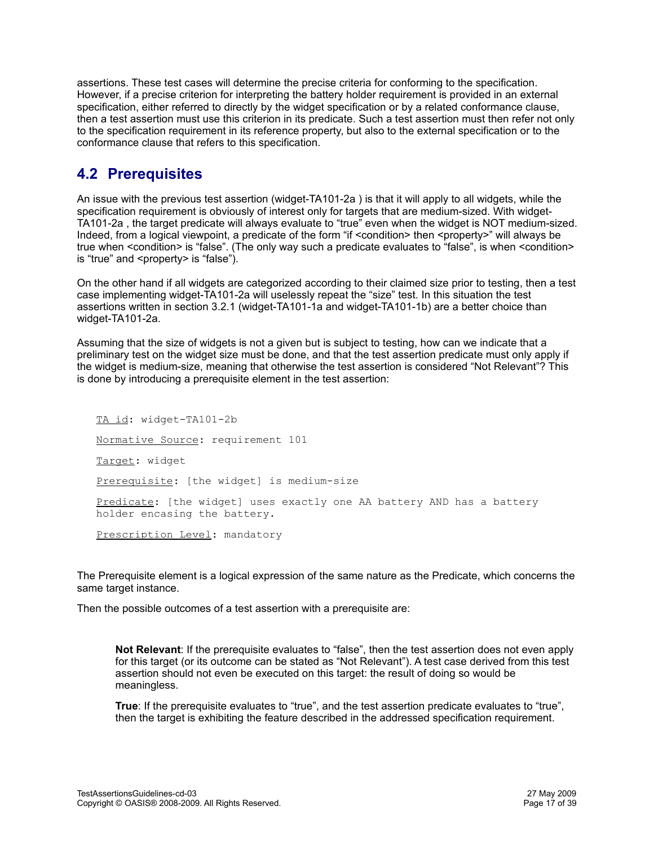assertions. These test cases will determine the precise criteria for conforming to the specification. However, if a precise criterion for interpreting the battery holder requirement is provided in an external specification, either referred to directly by the widget specification or by a related conformance clause, then a test assertion must use this criterion in its predicate. Such a test assertion must then refer not only to the specification requirement in its reference property, but also to the external specification or to the conformance clause that refers to this specification.

# **4.2 Prerequisites**

An issue with the previous test assertion (widget-TA101-2a ) is that it will apply to all widgets, while the specification requirement is obviously of interest only for targets that are medium-sized. With widget-TA101-2a , the target predicate will always evaluate to "true" even when the widget is NOT medium-sized. Indeed, from a logical viewpoint, a predicate of the form "if <condition> then <property>" will always be true when <condition> is "false". (The only way such a predicate evaluates to "false", is when <condition> is "true" and <property> is "false").

On the other hand if all widgets are categorized according to their claimed size prior to testing, then a test case implementing widget-TA101-2a will uselessly repeat the "size" test. In this situation the test assertions written in section 3.2.1 (widget-TA101-1a and widget-TA101-1b) are a better choice than widget-TA101-2a.

Assuming that the size of widgets is not a given but is subject to testing, how can we indicate that a preliminary test on the widget size must be done, and that the test assertion predicate must only apply if the widget is medium-size, meaning that otherwise the test assertion is considered "Not Relevant"? This is done by introducing a prerequisite element in the test assertion:

TA id: widget-TA101-2b Normative Source: requirement 101 Target: widget Prerequisite: [the widget] is medium-size Predicate: [the widget] uses exactly one AA battery AND has a battery holder encasing the battery. Prescription Level: mandatory

The Prerequisite element is a logical expression of the same nature as the Predicate, which concerns the same target instance.

Then the possible outcomes of a test assertion with a prerequisite are:

**Not Relevant**: If the prerequisite evaluates to "false", then the test assertion does not even apply for this target (or its outcome can be stated as "Not Relevant"). A test case derived from this test assertion should not even be executed on this target: the result of doing so would be meaningless.

**True**: If the prerequisite evaluates to "true", and the test assertion predicate evaluates to "true", then the target is exhibiting the feature described in the addressed specification requirement.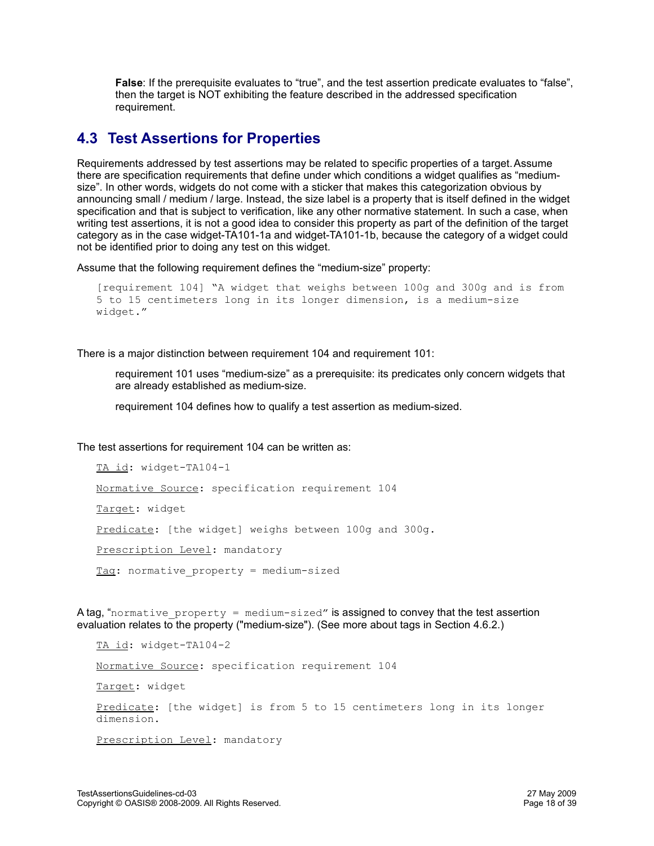**False**: If the prerequisite evaluates to "true", and the test assertion predicate evaluates to "false", then the target is NOT exhibiting the feature described in the addressed specification requirement.

# **4.3 Test Assertions for Properties**

Requirements addressed by test assertions may be related to specific properties of a target. Assume there are specification requirements that define under which conditions a widget qualifies as "mediumsize". In other words, widgets do not come with a sticker that makes this categorization obvious by announcing small / medium / large. Instead, the size label is a property that is itself defined in the widget specification and that is subject to verification, like any other normative statement. In such a case, when writing test assertions, it is not a good idea to consider this property as part of the definition of the target category as in the case widget-TA101-1a and widget-TA101-1b, because the category of a widget could not be identified prior to doing any test on this widget.

Assume that the following requirement defines the "medium-size" property:

```
[requirement 104] "A widget that weighs between 100g and 300g and is from
5 to 15 centimeters long in its longer dimension, is a medium-size
widget."
```
There is a major distinction between requirement 104 and requirement 101:

requirement 101 uses "medium-size" as a prerequisite: its predicates only concern widgets that are already established as medium-size.

requirement 104 defines how to qualify a test assertion as medium-sized.

The test assertions for requirement 104 can be written as:

```
TA id: widget-TA104-1
Normative Source: specification requirement 104
Target: widget
Predicate: [the widget] weighs between 100g and 300g.
Prescription Level: mandatory
<u>Tag</u>: normative property = medium-sized</u>
```
A tag, "normative property = medium-sized" is assigned to convey that the test assertion evaluation relates to the property ("medium-size"). (See more about tags in Section 4.6.2.)

```
TA id: widget-TA104-2
Normative Source: specification requirement 104
Target: widget
Predicate: [the widget] is from 5 to 15 centimeters long in its longer
dimension.
Prescription Level: mandatory
```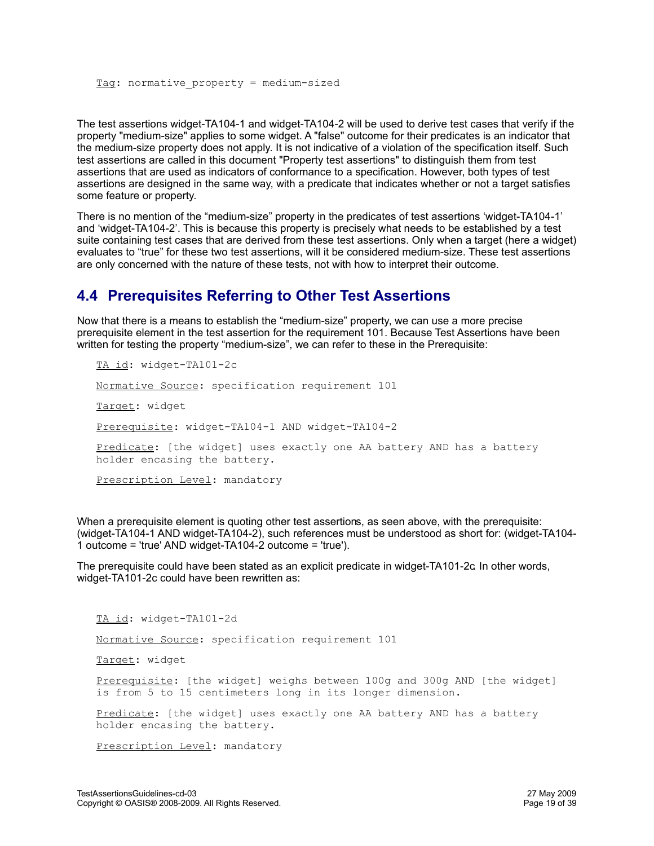The test assertions widget-TA104-1 and widget-TA104-2 will be used to derive test cases that verify if the property "medium-size" applies to some widget. A "false" outcome for their predicates is an indicator that the medium-size property does not apply. It is not indicative of a violation of the specification itself. Such test assertions are called in this document "Property test assertions" to distinguish them from test assertions that are used as indicators of conformance to a specification. However, both types of test assertions are designed in the same way, with a predicate that indicates whether or not a target satisfies some feature or property.

There is no mention of the "medium-size" property in the predicates of test assertions 'widget-TA104-1' and 'widget-TA104-2'. This is because this property is precisely what needs to be established by a test suite containing test cases that are derived from these test assertions. Only when a target (here a widget) evaluates to "true" for these two test assertions, will it be considered medium-size. These test assertions are only concerned with the nature of these tests, not with how to interpret their outcome.

# **4.4 Prerequisites Referring to Other Test Assertions**

Now that there is a means to establish the "medium-size" property, we can use a more precise prerequisite element in the test assertion for the requirement 101. Because Test Assertions have been written for testing the property "medium-size", we can refer to these in the Prerequisite:

TA id: widget-TA101-2c Normative Source: specification requirement 101 Target: widget Prerequisite: widget-TA104-1 AND widget-TA104-2 Predicate: [the widget] uses exactly one AA battery AND has a battery holder encasing the battery. Prescription Level: mandatory

When a prerequisite element is quoting other test assertions, as seen above, with the prerequisite: (widget-TA104-1 AND widget-TA104-2), such references must be understood as short for: (widget-TA104- 1 outcome = 'true' AND widget-TA104-2 outcome = 'true').

The prerequisite could have been stated as an explicit predicate in widget-TA101-2c. In other words, widget-TA101-2c could have been rewritten as:

TA id: widget-TA101-2d

Normative Source: specification requirement 101

Target: widget

Prerequisite: [the widget] weighs between 100g and 300g AND [the widget] is from 5 to 15 centimeters long in its longer dimension.

Predicate: [the widget] uses exactly one AA battery AND has a battery holder encasing the battery.

Prescription Level: mandatory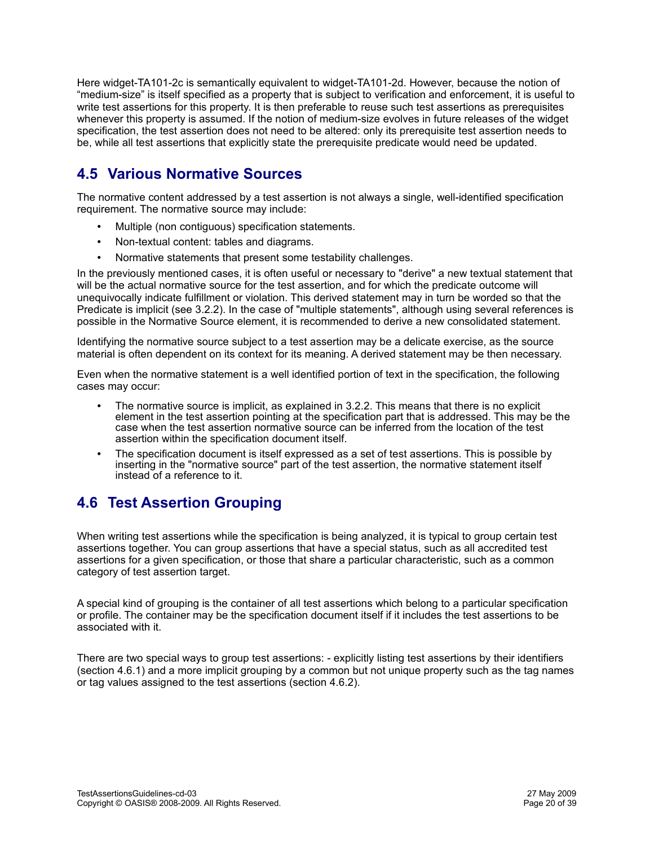Here widget-TA101-2c is semantically equivalent to widget-TA101-2d. However, because the notion of "medium-size" is itself specified as a property that is subject to verification and enforcement, it is useful to write test assertions for this property. It is then preferable to reuse such test assertions as prerequisites whenever this property is assumed. If the notion of medium-size evolves in future releases of the widget specification, the test assertion does not need to be altered: only its prerequisite test assertion needs to be, while all test assertions that explicitly state the prerequisite predicate would need be updated.

# **4.5 Various Normative Sources**

The normative content addressed by a test assertion is not always a single, well-identified specification requirement. The normative source may include:

- Multiple (non contiguous) specification statements.
- Non-textual content: tables and diagrams.
- Normative statements that present some testability challenges.

In the previously mentioned cases, it is often useful or necessary to "derive" a new textual statement that will be the actual normative source for the test assertion, and for which the predicate outcome will unequivocally indicate fulfillment or violation. This derived statement may in turn be worded so that the Predicate is implicit (see 3.2.2). In the case of "multiple statements", although using several references is possible in the Normative Source element, it is recommended to derive a new consolidated statement.

Identifying the normative source subject to a test assertion may be a delicate exercise, as the source material is often dependent on its context for its meaning. A derived statement may be then necessary.

Even when the normative statement is a well identified portion of text in the specification, the following cases may occur:

- The normative source is implicit, as explained in 3.2.2. This means that there is no explicit element in the test assertion pointing at the specification part that is addressed. This may be the case when the test assertion normative source can be inferred from the location of the test assertion within the specification document itself.
- The specification document is itself expressed as a set of test assertions. This is possible by inserting in the "normative source" part of the test assertion, the normative statement itself instead of a reference to it.

# **4.6 Test Assertion Grouping**

When writing test assertions while the specification is being analyzed, it is typical to group certain test assertions together. You can group assertions that have a special status, such as all accredited test assertions for a given specification, or those that share a particular characteristic, such as a common category of test assertion target.

A special kind of grouping is the container of all test assertions which belong to a particular specification or profile. The container may be the specification document itself if it includes the test assertions to be associated with it.

There are two special ways to group test assertions: - explicitly listing test assertions by their identifiers (section 4.6.1) and a more implicit grouping by a common but not unique property such as the tag names or tag values assigned to the test assertions (section 4.6.2).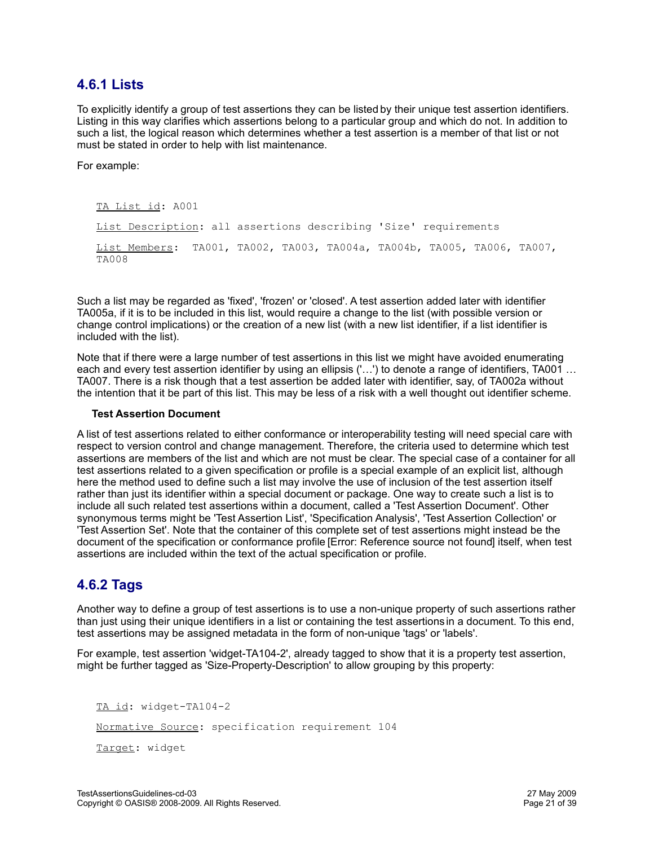## **4.6.1 Lists**

To explicitly identify a group of test assertions they can be listed by their unique test assertion identifiers. Listing in this way clarifies which assertions belong to a particular group and which do not. In addition to such a list, the logical reason which determines whether a test assertion is a member of that list or not must be stated in order to help with list maintenance.

For example:

TA List id: A001 List Description: all assertions describing 'Size' requirements List Members: TA001, TA002, TA003, TA004a, TA004b, TA005, TA006, TA007, TA008

Such a list may be regarded as 'fixed', 'frozen' or 'closed'. A test assertion added later with identifier TA005a, if it is to be included in this list, would require a change to the list (with possible version or change control implications) or the creation of a new list (with a new list identifier, if a list identifier is included with the list).

Note that if there were a large number of test assertions in this list we might have avoided enumerating each and every test assertion identifier by using an ellipsis ('…') to denote a range of identifiers, TA001 … TA007. There is a risk though that a test assertion be added later with identifier, say, of TA002a without the intention that it be part of this list. This may be less of a risk with a well thought out identifier scheme.

#### **Test Assertion Document**

A list of test assertions related to either conformance or interoperability testing will need special care with respect to version control and change management. Therefore, the criteria used to determine which test assertions are members of the list and which are not must be clear. The special case of a container for all test assertions related to a given specification or profile is a special example of an explicit list, although here the method used to define such a list may involve the use of inclusion of the test assertion itself rather than just its identifier within a special document or package. One way to create such a list is to include all such related test assertions within a document, called a 'Test Assertion Document'. Other synonymous terms might be 'Test Assertion List', 'Specification Analysis', 'Test Assertion Collection' or 'Test Assertion Set'. Note that the container of this complete set of test assertions might instead be the document of the specification or conformance profile [\[Error: Reference source not found\]](#page-20-0) itself, when test assertions are included within the text of the actual specification or profile.

# <span id="page-20-0"></span>**4.6.2 Tags**

Another way to define a group of test assertions is to use a non-unique property of such assertions rather than just using their unique identifiers in a list or containing the test assertions in a document. To this end, test assertions may be assigned metadata in the form of non-unique 'tags' or 'labels'.

For example, test assertion 'widget-TA104-2', already tagged to show that it is a property test assertion, might be further tagged as 'Size-Property-Description' to allow grouping by this property:

TA id: widget-TA104-2 Normative Source: specification requirement 104 Target: widget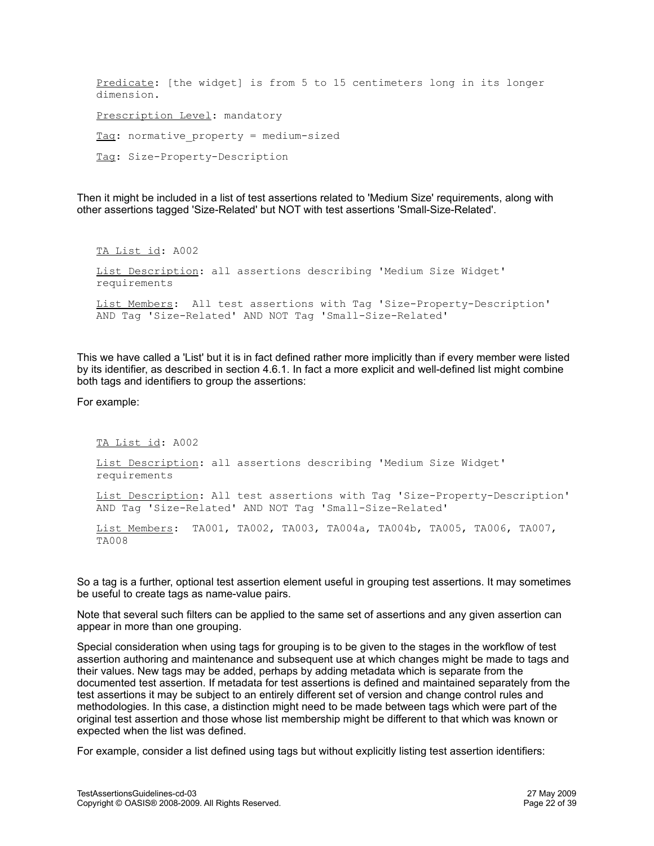Predicate: [the widget] is from 5 to 15 centimeters long in its longer dimension. Prescription Level: mandatory Tag: normative property = medium-sized Tag: Size-Property-Description

Then it might be included in a list of test assertions related to 'Medium Size' requirements, along with other assertions tagged 'Size-Related' but NOT with test assertions 'Small-Size-Related'.

TA List id: A002 List Description: all assertions describing 'Medium Size Widget' requirements List Members: All test assertions with Tag 'Size-Property-Description' AND Tag 'Size-Related' AND NOT Tag 'Small-Size-Related'

This we have called a 'List' but it is in fact defined rather more implicitly than if every member were listed by its identifier, as described in section 4.6.1. In fact a more explicit and well-defined list might combine both tags and identifiers to group the assertions:

For example:

TA List id: A002 List Description: all assertions describing 'Medium Size Widget' requirements List Description: All test assertions with Tag 'Size-Property-Description' AND Tag 'Size-Related' AND NOT Tag 'Small-Size-Related' List Members: TA001, TA002, TA003, TA004a, TA004b, TA005, TA006, TA007, TA008

So a tag is a further, optional test assertion element useful in grouping test assertions. It may sometimes be useful to create tags as name-value pairs.

Note that several such filters can be applied to the same set of assertions and any given assertion can appear in more than one grouping.

Special consideration when using tags for grouping is to be given to the stages in the workflow of test assertion authoring and maintenance and subsequent use at which changes might be made to tags and their values. New tags may be added, perhaps by adding metadata which is separate from the documented test assertion. If metadata for test assertions is defined and maintained separately from the test assertions it may be subject to an entirely different set of version and change control rules and methodologies. In this case, a distinction might need to be made between tags which were part of the original test assertion and those whose list membership might be different to that which was known or expected when the list was defined.

For example, consider a list defined using tags but without explicitly listing test assertion identifiers: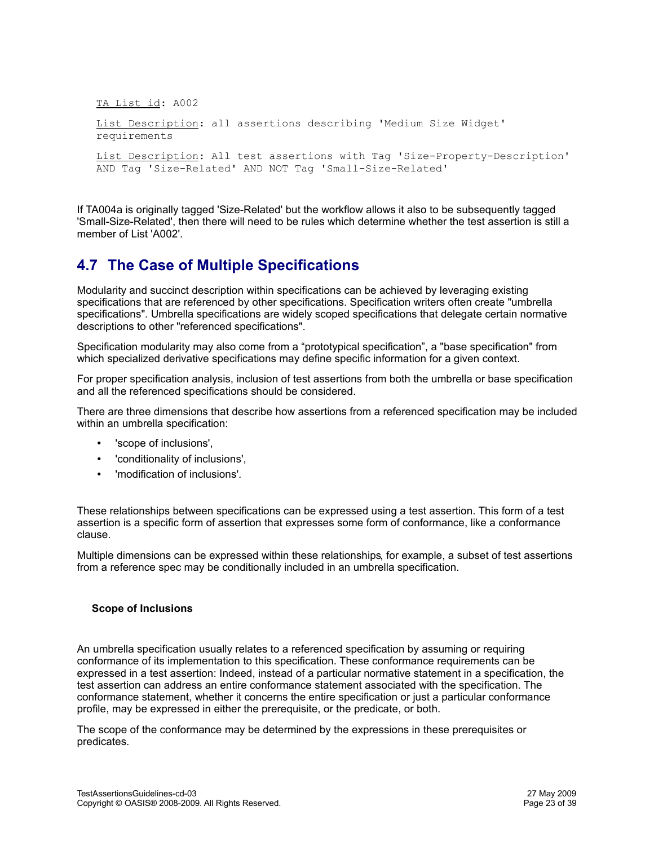TA List id: A002

```
List Description: all assertions describing 'Medium Size Widget'
requirements
```
List Description: All test assertions with Tag 'Size-Property-Description' AND Tag 'Size-Related' AND NOT Tag 'Small-Size-Related'

If TA004a is originally tagged 'Size-Related' but the workflow allows it also to be subsequently tagged 'Small-Size-Related', then there will need to be rules which determine whether the test assertion is still a member of List 'A002'.

# **4.7 The Case of Multiple Specifications**

Modularity and succinct description within specifications can be achieved by leveraging existing specifications that are referenced by other specifications. Specification writers often create "umbrella specifications". Umbrella specifications are widely scoped specifications that delegate certain normative descriptions to other "referenced specifications".

Specification modularity may also come from a "prototypical specification", a "base specification" from which specialized derivative specifications may define specific information for a given context.

For proper specification analysis, inclusion of test assertions from both the umbrella or base specification and all the referenced specifications should be considered.

There are three dimensions that describe how assertions from a referenced specification may be included within an umbrella specification:

- 'scope of inclusions',
- 'conditionality of inclusions',
- 'modification of inclusions'.

These relationships between specifications can be expressed using a test assertion. This form of a test assertion is a specific form of assertion that expresses some form of conformance, like a conformance clause.

Multiple dimensions can be expressed within these relationships, for example, a subset of test assertions from a reference spec may be conditionally included in an umbrella specification.

#### **Scope of Inclusions**

An umbrella specification usually relates to a referenced specification by assuming or requiring conformance of its implementation to this specification. These conformance requirements can be expressed in a test assertion: Indeed, instead of a particular normative statement in a specification, the test assertion can address an entire conformance statement associated with the specification. The conformance statement, whether it concerns the entire specification or just a particular conformance profile, may be expressed in either the prerequisite, or the predicate, or both.

The scope of the conformance may be determined by the expressions in these prerequisites or predicates.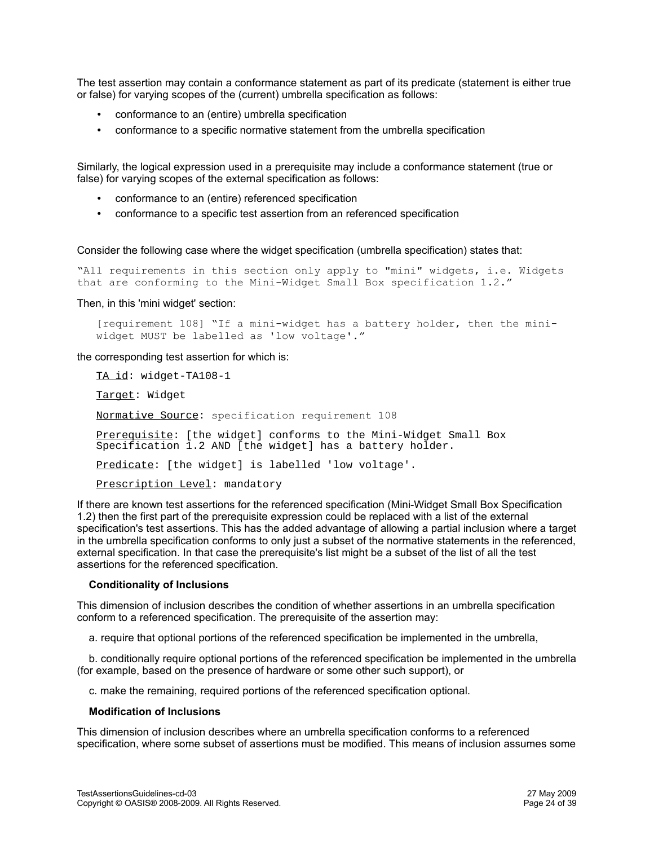The test assertion may contain a conformance statement as part of its predicate (statement is either true or false) for varying scopes of the (current) umbrella specification as follows:

- conformance to an (entire) umbrella specification
- conformance to a specific normative statement from the umbrella specification

Similarly, the logical expression used in a prerequisite may include a conformance statement (true or false) for varying scopes of the external specification as follows:

- conformance to an (entire) referenced specification
- conformance to a specific test assertion from an referenced specification

Consider the following case where the widget specification (umbrella specification) states that:

"All requirements in this section only apply to "mini" widgets, i.e. Widgets that are conforming to the Mini-Widget Small Box specification 1.2."

Then, in this 'mini widget' section:

[requirement 108] "If a mini-widget has a battery holder, then the miniwidget MUST be labelled as 'low voltage'."

the corresponding test assertion for which is:

TA id: widget-TA108-1

Target: Widget

Normative Source: specification requirement 108

Prerequisite: [the widget] conforms to the Mini-Widget Small Box Specification 1.2 AND [the widget] has a battery holder.

Predicate: [the widget] is labelled 'low voltage'.

Prescription Level: mandatory

If there are known test assertions for the referenced specification (Mini-Widget Small Box Specification 1.2) then the first part of the prerequisite expression could be replaced with a list of the external specification's test assertions. This has the added advantage of allowing a partial inclusion where a target in the umbrella specification conforms to only just a subset of the normative statements in the referenced, external specification. In that case the prerequisite's list might be a subset of the list of all the test assertions for the referenced specification.

#### **Conditionality of Inclusions**

This dimension of inclusion describes the condition of whether assertions in an umbrella specification conform to a referenced specification. The prerequisite of the assertion may:

a. require that optional portions of the referenced specification be implemented in the umbrella,

 b. conditionally require optional portions of the referenced specification be implemented in the umbrella (for example, based on the presence of hardware or some other such support), or

c. make the remaining, required portions of the referenced specification optional.

#### **Modification of Inclusions**

This dimension of inclusion describes where an umbrella specification conforms to a referenced specification, where some subset of assertions must be modified. This means of inclusion assumes some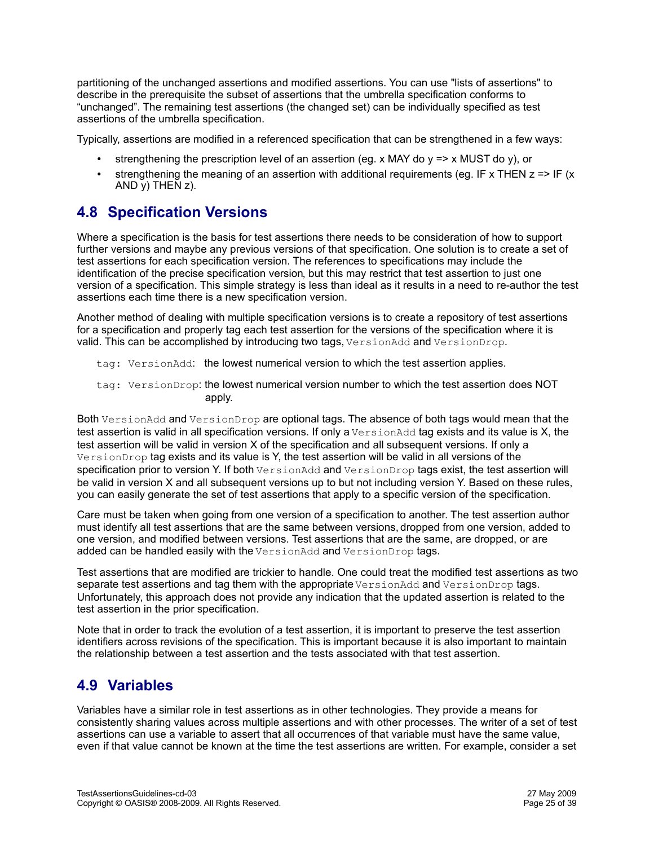partitioning of the unchanged assertions and modified assertions. You can use "lists of assertions" to describe in the prerequisite the subset of assertions that the umbrella specification conforms to "unchanged". The remaining test assertions (the changed set) can be individually specified as test assertions of the umbrella specification.

Typically, assertions are modified in a referenced specification that can be strengthened in a few ways:

- strengthening the prescription level of an assertion (eg. x MAY do y => x MUST do y), or
- strengthening the meaning of an assertion with additional requirements (eq. IF x THEN  $z \approx$  IF (x AND  $\bar{y}$ ) THEN  $z$ ).

# **4.8 Specification Versions**

Where a specification is the basis for test assertions there needs to be consideration of how to support further versions and maybe any previous versions of that specification. One solution is to create a set of test assertions for each specification version. The references to specifications may include the identification of the precise specification version, but this may restrict that test assertion to just one version of a specification. This simple strategy is less than ideal as it results in a need to re-author the test assertions each time there is a new specification version.

Another method of dealing with multiple specification versions is to create a repository of test assertions for a specification and properly tag each test assertion for the versions of the specification where it is valid. This can be accomplished by introducing two tags, VersionAdd and VersionDrop.

tag: VersionAdd: the lowest numerical version to which the test assertion applies.

tag: VersionDrop: the lowest numerical version number to which the test assertion does NOT apply.

Both VersionAdd and VersionDrop are optional tags. The absence of both tags would mean that the test assertion is valid in all specification versions. If only a VersionAdd tag exists and its value is X, the test assertion will be valid in version X of the specification and all subsequent versions. If only a VersionDrop tag exists and its value is Y, the test assertion will be valid in all versions of the specification prior to version Y. If both VersionAdd and VersionDrop tags exist, the test assertion will be valid in version X and all subsequent versions up to but not including version Y. Based on these rules, you can easily generate the set of test assertions that apply to a specific version of the specification.

Care must be taken when going from one version of a specification to another. The test assertion author must identify all test assertions that are the same between versions, dropped from one version, added to one version, and modified between versions. Test assertions that are the same, are dropped, or are added can be handled easily with the VersionAdd and VersionDrop tags.

Test assertions that are modified are trickier to handle. One could treat the modified test assertions as two separate test assertions and tag them with the appropriate VersionAdd and VersionDrop tags. Unfortunately, this approach does not provide any indication that the updated assertion is related to the test assertion in the prior specification.

Note that in order to track the evolution of a test assertion, it is important to preserve the test assertion identifiers across revisions of the specification. This is important because it is also important to maintain the relationship between a test assertion and the tests associated with that test assertion.

# **4.9 Variables**

Variables have a similar role in test assertions as in other technologies. They provide a means for consistently sharing values across multiple assertions and with other processes. The writer of a set of test assertions can use a variable to assert that all occurrences of that variable must have the same value, even if that value cannot be known at the time the test assertions are written. For example, consider a set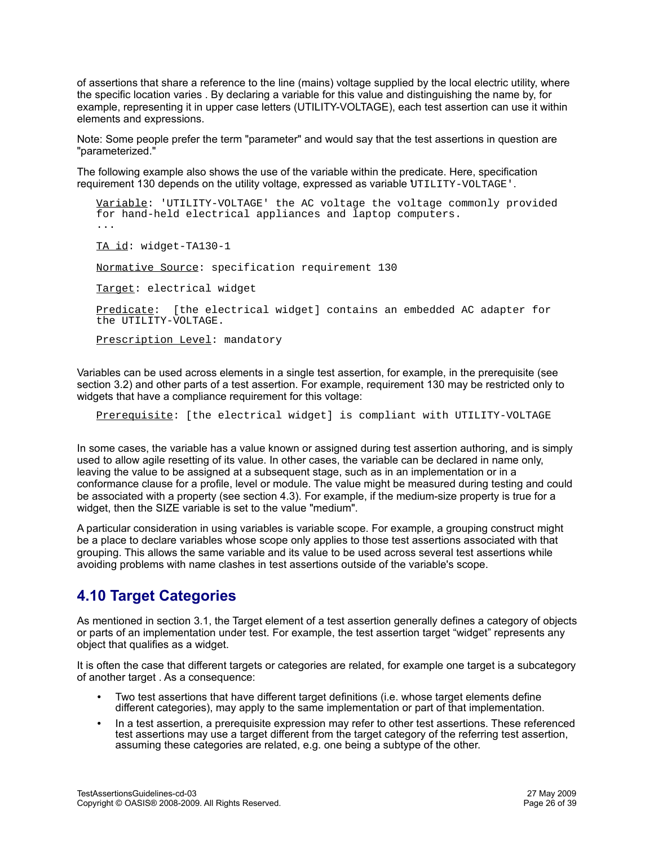of assertions that share a reference to the line (mains) voltage supplied by the local electric utility, where the specific location varies . By declaring a variable for this value and distinguishing the name by, for example, representing it in upper case letters (UTILITY-VOLTAGE), each test assertion can use it within elements and expressions.

Note: Some people prefer the term "parameter" and would say that the test assertions in question are "parameterized."

The following example also shows the use of the variable within the predicate. Here, specification requirement 130 depends on the utility voltage, expressed as variable 'UTILITY-VOLTAGE'.

Variable: 'UTILITY-VOLTAGE' the AC voltage the voltage commonly provided for hand-held electrical appliances and laptop computers. ... TA id: widget-TA130-1 Normative Source: specification requirement 130 Target: electrical widget Predicate: [the electrical widget] contains an embedded AC adapter for the UTILITY-VOLTAGE.

Prescription Level: mandatory

Variables can be used across elements in a single test assertion, for example, in the prerequisite (see section 3.2) and other parts of a test assertion. For example, requirement 130 may be restricted only to widgets that have a compliance requirement for this voltage:

Prerequisite: [the electrical widget] is compliant with UTILITY-VOLTAGE

In some cases, the variable has a value known or assigned during test assertion authoring, and is simply used to allow agile resetting of its value. In other cases, the variable can be declared in name only, leaving the value to be assigned at a subsequent stage, such as in an implementation or in a conformance clause for a profile, level or module. The value might be measured during testing and could be associated with a property (see section 4.3). For example, if the medium-size property is true for a widget, then the SIZE variable is set to the value "medium".

A particular consideration in using variables is variable scope. For example, a grouping construct might be a place to declare variables whose scope only applies to those test assertions associated with that grouping. This allows the same variable and its value to be used across several test assertions while avoiding problems with name clashes in test assertions outside of the variable's scope.

# **4.10 Target Categories**

As mentioned in section 3.1, the Target element of a test assertion generally defines a category of objects or parts of an implementation under test. For example, the test assertion target "widget" represents any object that qualifies as a widget.

It is often the case that different targets or categories are related, for example one target is a subcategory of another target . As a consequence:

- Two test assertions that have different target definitions (i.e. whose target elements define different categories), may apply to the same implementation or part of that implementation.
- In a test assertion, a prerequisite expression may refer to other test assertions. These referenced test assertions may use a target different from the target category of the referring test assertion, assuming these categories are related, e.g. one being a subtype of the other.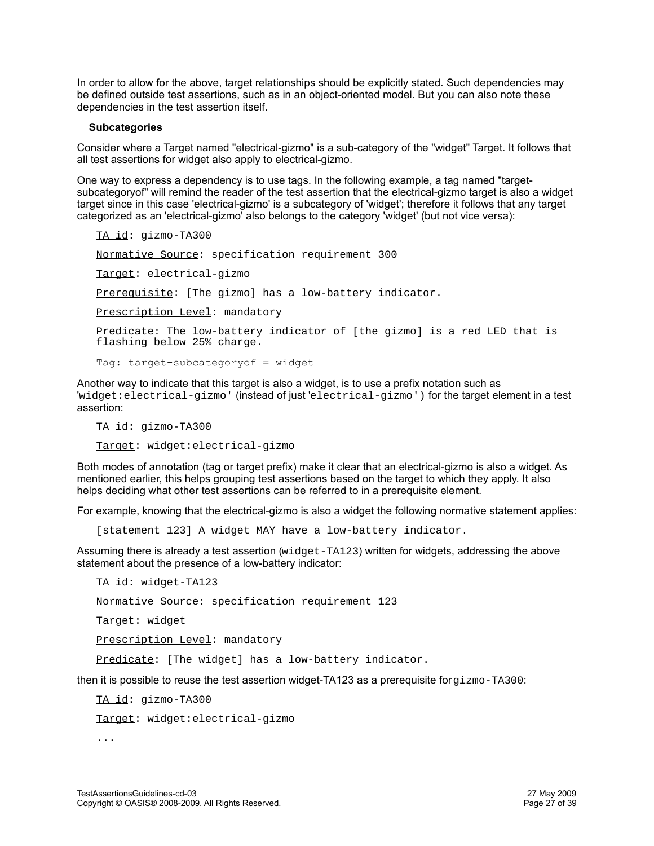In order to allow for the above, target relationships should be explicitly stated. Such dependencies may be defined outside test assertions, such as in an object-oriented model. But you can also note these dependencies in the test assertion itself.

#### **Subcategories**

Consider where a Target named "electrical-gizmo" is a sub-category of the "widget" Target. It follows that all test assertions for widget also apply to electrical-gizmo.

One way to express a dependency is to use tags. In the following example, a tag named "targetsubcategoryof" will remind the reader of the test assertion that the electrical-gizmo target is also a widget target since in this case 'electrical-gizmo' is a subcategory of 'widget'; therefore it follows that any target categorized as an 'electrical-gizmo' also belongs to the category 'widget' (but not vice versa):

```
TA id: gizmo-TA300
Normative Source: specification requirement 300
Target: electrical-gizmo
Prerequisite: [The gizmo] has a low-battery indicator.
Prescription Level: mandatory
Predicate: The low-battery indicator of [the gizmo] is a red LED that is
flashing below 25% charge.
Tag: target-subcategoryof = widget
```
Another way to indicate that this target is also a widget, is to use a prefix notation such as 'widget:electrical-gizmo' (instead of just 'electrical-gizmo') for the target element in a test assertion:

TA id: gizmo-TA300 Target: widget:electrical-gizmo

Both modes of annotation (tag or target prefix) make it clear that an electrical-gizmo is also a widget. As mentioned earlier, this helps grouping test assertions based on the target to which they apply. It also helps deciding what other test assertions can be referred to in a prerequisite element.

For example, knowing that the electrical-gizmo is also a widget the following normative statement applies:

[statement 123] A widget MAY have a low-battery indicator.

Assuming there is already a test assertion (widget-TA123) written for widgets, addressing the above statement about the presence of a low-battery indicator:

TA id: widget-TA123 Normative Source: specification requirement 123 Target: widget Prescription Level: mandatory Predicate: [The widget] has a low-battery indicator.

then it is possible to reuse the test assertion widget-TA123 as a prerequisite for  $q_i z_{\text{mo-TA300}}$ .

TA id: gizmo-TA300

Target: widget:electrical-gizmo

...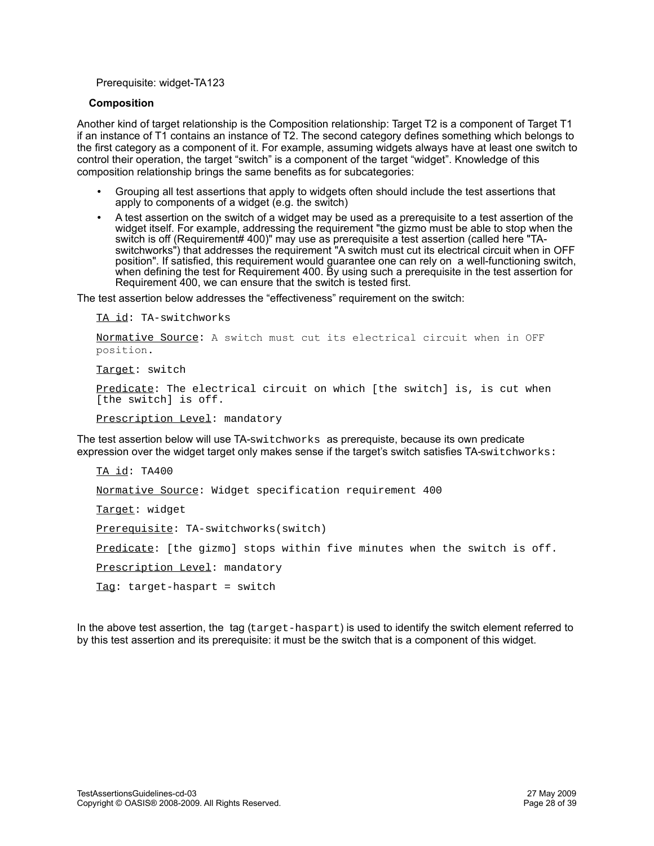#### Prerequisite: widget-TA123

#### **Composition**

Another kind of target relationship is the Composition relationship: Target T2 is a component of Target T1 if an instance of T1 contains an instance of T2. The second category defines something which belongs to the first category as a component of it. For example, assuming widgets always have at least one switch to control their operation, the target "switch" is a component of the target "widget". Knowledge of this composition relationship brings the same benefits as for subcategories:

- Grouping all test assertions that apply to widgets often should include the test assertions that apply to components of a widget (e.g. the switch)
- A test assertion on the switch of a widget may be used as a prerequisite to a test assertion of the widget itself. For example, addressing the requirement "the gizmo must be able to stop when the switch is off (Requirement# 400)" may use as prerequisite a test assertion (called here "TAswitchworks") that addresses the requirement "A switch must cut its electrical circuit when in OFF position". If satisfied, this requirement would guarantee one can rely on a well-functioning switch, when defining the test for Requirement 400. By using such a prerequisite in the test assertion for Requirement 400, we can ensure that the switch is tested first.

The test assertion below addresses the "effectiveness" requirement on the switch:

TA id: TA-switchworks

Normative Source: A switch must cut its electrical circuit when in OFF position.

Target: switch

Predicate: The electrical circuit on which [the switch] is, is cut when [the switch] is off.

Prescription Level: mandatory

The test assertion below will use TA-switchworks as prerequiste, because its own predicate expression over the widget target only makes sense if the target's switch satisfies TA-switchworks:

```
TA id: TA400
Normative Source: Widget specification requirement 400
Target: widget
Prerequisite: TA-switchworks(switch)
Predicate: [the gizmo] stops within five minutes when the switch is off.
Prescription Level: mandatory
Tag: target-haspart = switch
```
In the above test assertion, the tag (target-haspart) is used to identify the switch element referred to by this test assertion and its prerequisite: it must be the switch that is a component of this widget.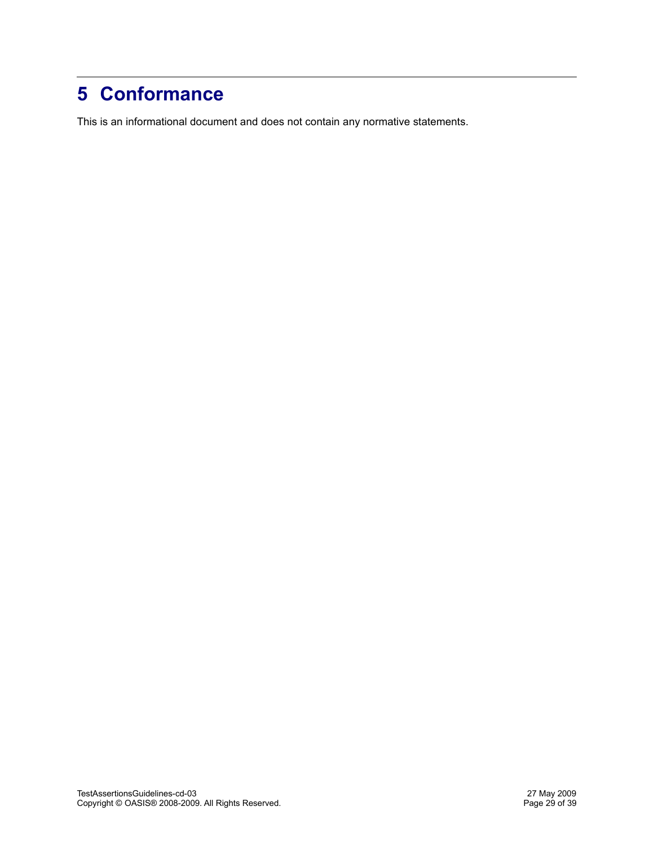# **5 Conformance**

This is an informational document and does not contain any normative statements.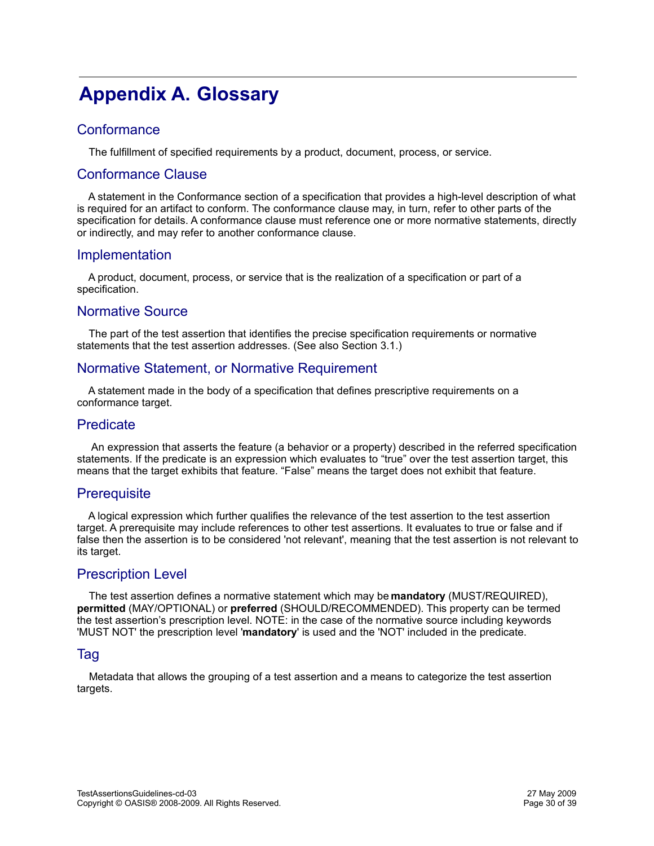# **Appendix A. Glossary**

## **Conformance**

The fulfillment of specified requirements by a product, document, process, or service.

### Conformance Clause

 A statement in the Conformance section of a specification that provides a high-level description of what is required for an artifact to conform. The conformance clause may, in turn, refer to other parts of the specification for details. A conformance clause must reference one or more normative statements, directly or indirectly, and may refer to another conformance clause.

### Implementation

 A product, document, process, or service that is the realization of a specification or part of a specification.

### Normative Source

 The part of the test assertion that identifies the precise specification requirements or normative statements that the test assertion addresses. (See also Section 3.1.)

## Normative Statement, or Normative Requirement

 A statement made in the body of a specification that defines prescriptive requirements on a conformance target.

### **Predicate**

 An expression that asserts the feature (a behavior or a property) described in the referred specification statements. If the predicate is an expression which evaluates to "true" over the test assertion target, this means that the target exhibits that feature. "False" means the target does not exhibit that feature.

### **Prerequisite**

 A logical expression which further qualifies the relevance of the test assertion to the test assertion target. A prerequisite may include references to other test assertions. It evaluates to true or false and if false then the assertion is to be considered 'not relevant', meaning that the test assertion is not relevant to its target.

### Prescription Level

 The test assertion defines a normative statement which may be **mandatory** (MUST/REQUIRED), **permitted** (MAY/OPTIONAL) or **preferred** (SHOULD/RECOMMENDED). This property can be termed the test assertion's prescription level. NOTE: in the case of the normative source including keywords 'MUST NOT' the prescription level '**mandatory**' is used and the 'NOT' included in the predicate.

#### Tag

 Metadata that allows the grouping of a test assertion and a means to categorize the test assertion targets.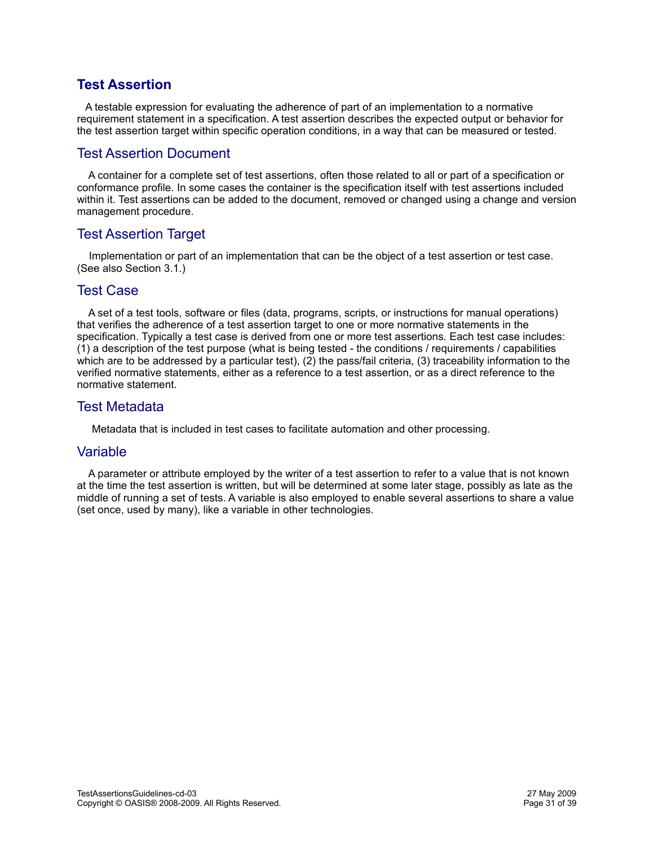## **Test Assertion**

 A testable expression for evaluating the adherence of part of an implementation to a normative requirement statement in a specification. A test assertion describes the expected output or behavior for the test assertion target within specific operation conditions, in a way that can be measured or tested.

### Test Assertion Document

 A container for a complete set of test assertions, often those related to all or part of a specification or conformance profile. In some cases the container is the specification itself with test assertions included within it. Test assertions can be added to the document, removed or changed using a change and version management procedure.

## Test Assertion Target

 Implementation or part of an implementation that can be the object of a test assertion or test case. (See also Section 3.1.)

### Test Case

 A set of a test tools, software or files (data, programs, scripts, or instructions for manual operations) that verifies the adherence of a test assertion target to one or more normative statements in the specification. Typically a test case is derived from one or more test assertions. Each test case includes: (1) a description of the test purpose (what is being tested - the conditions / requirements / capabilities which are to be addressed by a particular test), (2) the pass/fail criteria, (3) traceability information to the verified normative statements, either as a reference to a test assertion, or as a direct reference to the normative statement.

### Test Metadata

Metadata that is included in test cases to facilitate automation and other processing.

#### Variable

 A parameter or attribute employed by the writer of a test assertion to refer to a value that is not known at the time the test assertion is written, but will be determined at some later stage, possibly as late as the middle of running a set of tests. A variable is also employed to enable several assertions to share a value (set once, used by many), like a variable in other technologies.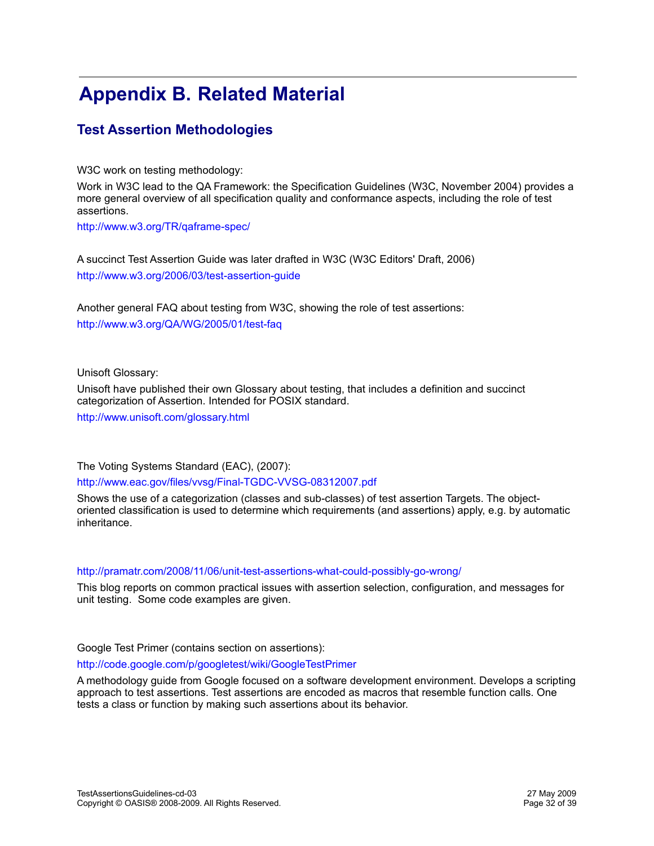# **Appendix B. Related Material**

## **Test Assertion Methodologies**

W3C work on testing methodology:

Work in W3C lead to the QA Framework: the Specification Guidelines (W3C, November 2004) provides a more general overview of all specification quality and conformance aspects, including the role of test assertions.

<http://www.w3.org/TR/qaframe-spec/>

A succinct Test Assertion Guide was later drafted in W3C (W3C Editors' Draft, 2006) <http://www.w3.org/2006/03/test-assertion-guide>

Another general FAQ about testing from W3C, showing the role of test assertions: <http://www.w3.org/QA/WG/2005/01/test-faq>

Unisoft Glossary:

Unisoft have published their own Glossary about testing, that includes a definition and succinct categorization of Assertion. Intended for POSIX standard.

<http://www.unisoft.com/glossary.html>

The Voting Systems Standard (EAC), (2007):

#### <http://www.eac.gov/files/vvsg/Final-TGDC-VVSG-08312007.pdf>

Shows the use of a categorization (classes and sub-classes) of test assertion Targets. The objectoriented classification is used to determine which requirements (and assertions) apply, e.g. by automatic inheritance.

#### <http://pramatr.com/2008/11/06/unit-test-assertions-what-could-possibly-go-wrong/>

This blog reports on common practical issues with assertion selection, configuration, and messages for unit testing. Some code examples are given.

Google Test Primer (contains section on assertions):

#### <http://code.google.com/p/googletest/wiki/GoogleTestPrimer>

A methodology guide from Google focused on a software development environment. Develops a scripting approach to test assertions. Test assertions are encoded as macros that resemble function calls. One tests a class or function by making such assertions about its behavior.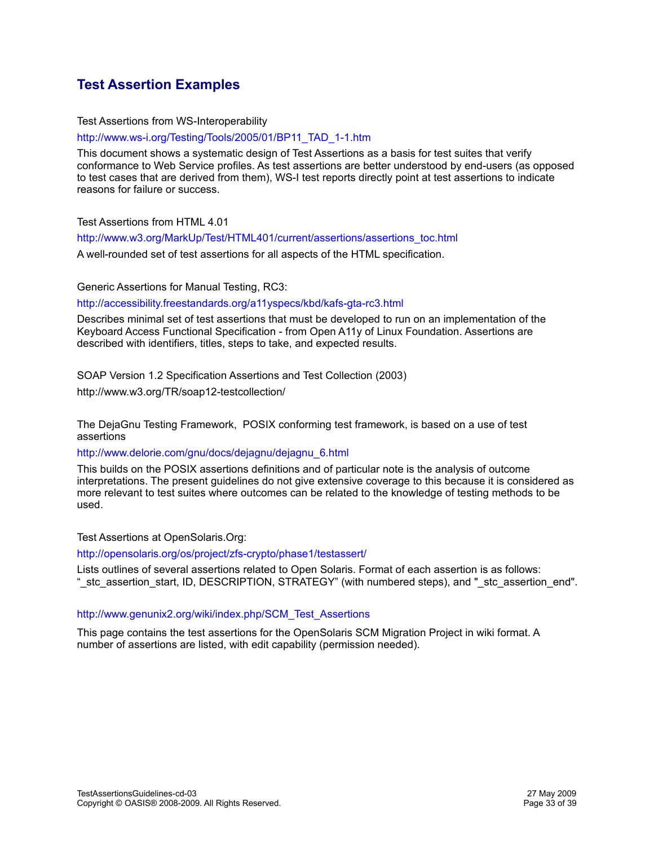# **Test Assertion Examples**

#### Test Assertions from WS-Interoperability

[http://www.ws-i.org/Testing/Tools/2005/01/BP11\\_TAD\\_1-1.htm](http://www.ws-i.org/Testing/Tools/2005/01/BP11_TAD_1-1.htm)

This document shows a systematic design of Test Assertions as a basis for test suites that verify conformance to Web Service profiles. As test assertions are better understood by end-users (as opposed to test cases that are derived from them), WS-I test reports directly point at test assertions to indicate reasons for failure or success.

#### Test Assertions from HTML 4.01

[http://www.w3.org/MarkUp/Test/HTML401/current/assertions/assertions\\_toc.html](http://www.w3.org/MarkUp/Test/HTML401/current/assertions/assertions_toc.html) 

A well-rounded set of test assertions for all aspects of the HTML specification.

Generic Assertions for Manual Testing, RC3:

#### <http://accessibility.freestandards.org/a11yspecs/kbd/kafs-gta-rc3.html>

Describes minimal set of test assertions that must be developed to run on an implementation of the Keyboard Access Functional Specification - from Open A11y of Linux Foundation. Assertions are described with identifiers, titles, steps to take, and expected results.

#### SOAP Version 1.2 Specification Assertions and Test Collection (2003)

http://www.w3.org/TR/soap12-testcollection/

The DejaGnu Testing Framework, POSIX conforming test framework, is based on a use of test assertions

#### [http://www.delorie.com/gnu/docs/dejagnu/dejagnu\\_6.html](http://www.delorie.com/gnu/docs/dejagnu/dejagnu_6.html)

This builds on the POSIX assertions definitions and of particular note is the analysis of outcome interpretations. The present guidelines do not give extensive coverage to this because it is considered as more relevant to test suites where outcomes can be related to the knowledge of testing methods to be used.

#### Test Assertions at OpenSolaris.Org:

<http://opensolaris.org/os/project/zfs-crypto/phase1/testassert/>

Lists outlines of several assertions related to Open Solaris. Format of each assertion is as follows: "\_stc\_assertion\_start, ID, DESCRIPTION, STRATEGY" (with numbered steps), and "\_stc\_assertion\_end".

#### [http://www.genunix2.org/wiki/index.php/SCM\\_Test\\_Assertions](http://www.genunix2.org/wiki/index.php/SCM_Test_Assertions)

This page contains the test assertions for the OpenSolaris SCM Migration Project in wiki format. A number of assertions are listed, with edit capability (permission needed).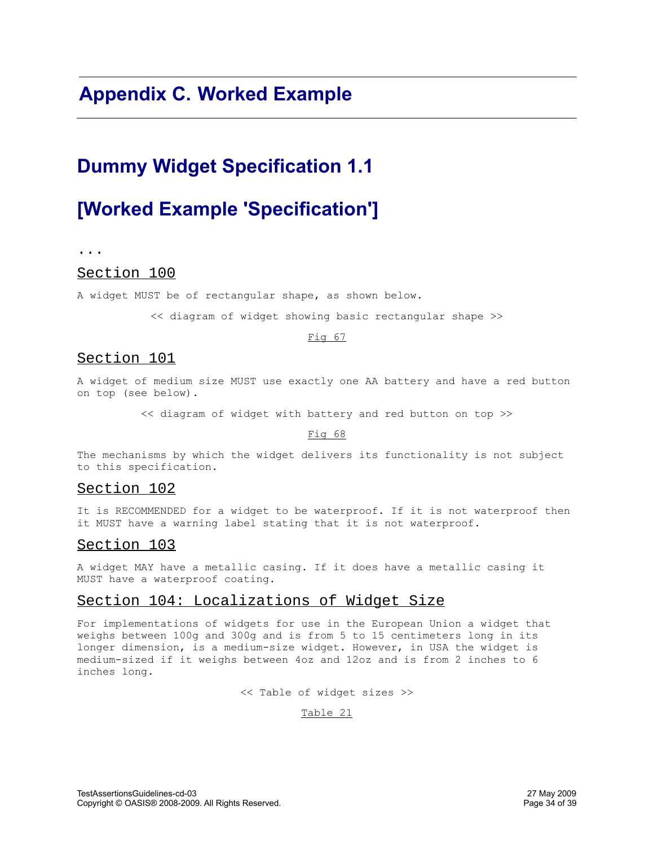# **Appendix C. Worked Example**

# **Dummy Widget Specification 1.1**

# **[Worked Example 'Specification']**

...

#### Section 100

A widget MUST be of rectangular shape, as shown below.

<< diagram of widget showing basic rectangular shape >>

#### Fig 67

#### Section 101

A widget of medium size MUST use exactly one AA battery and have a red button on top (see below).

<< diagram of widget with battery and red button on top >>

Fig 68

The mechanisms by which the widget delivers its functionality is not subject to this specification.

#### Section 102

It is RECOMMENDED for a widget to be waterproof. If it is not waterproof then it MUST have a warning label stating that it is not waterproof.

#### Section 103

A widget MAY have a metallic casing. If it does have a metallic casing it MUST have a waterproof coating.

#### Section 104: Localizations of Widget Size

For implementations of widgets for use in the European Union a widget that weighs between 100g and 300g and is from 5 to 15 centimeters long in its longer dimension, is a medium-size widget. However, in USA the widget is medium-sized if it weighs between 4oz and 12oz and is from 2 inches to 6 inches long.

<< Table of widget sizes >>

Table 21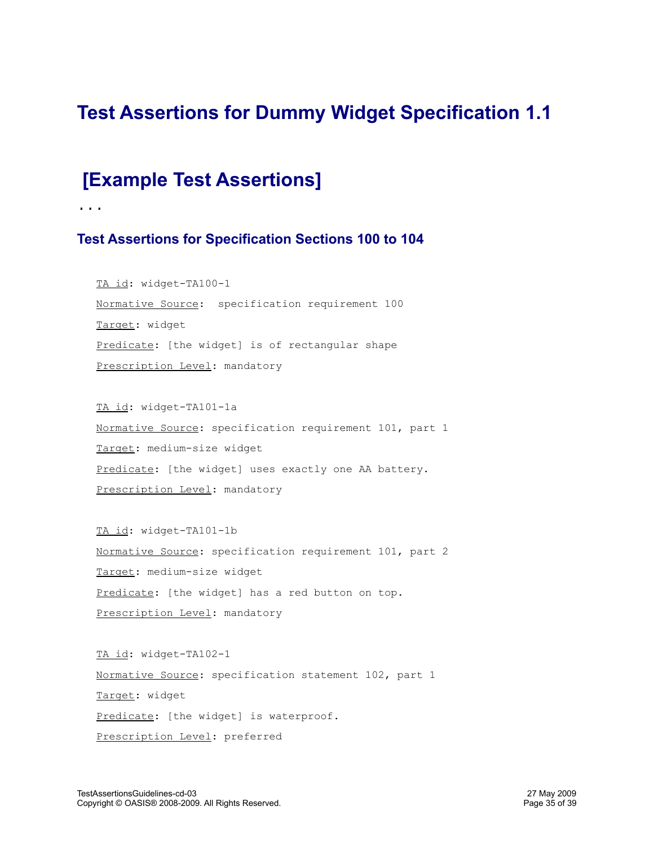# **Test Assertions for Dummy Widget Specification 1.1**

# **[Example Test Assertions]**

...

## **Test Assertions for Specification Sections 100 to 104**

TA id: widget-TA100-1 Normative Source: specification requirement 100 Target: widget Predicate: [the widget] is of rectangular shape Prescription Level: mandatory

TA id: widget-TA101-1a Normative Source: specification requirement 101, part 1 Target: medium-size widget Predicate: [the widget] uses exactly one AA battery. Prescription Level: mandatory

TA id: widget-TA101-1b Normative Source: specification requirement 101, part 2 Target: medium-size widget Predicate: [the widget] has a red button on top. Prescription Level: mandatory

TA id: widget-TA102-1 Normative Source: specification statement 102, part 1 Target: widget Predicate: [the widget] is waterproof. Prescription Level: preferred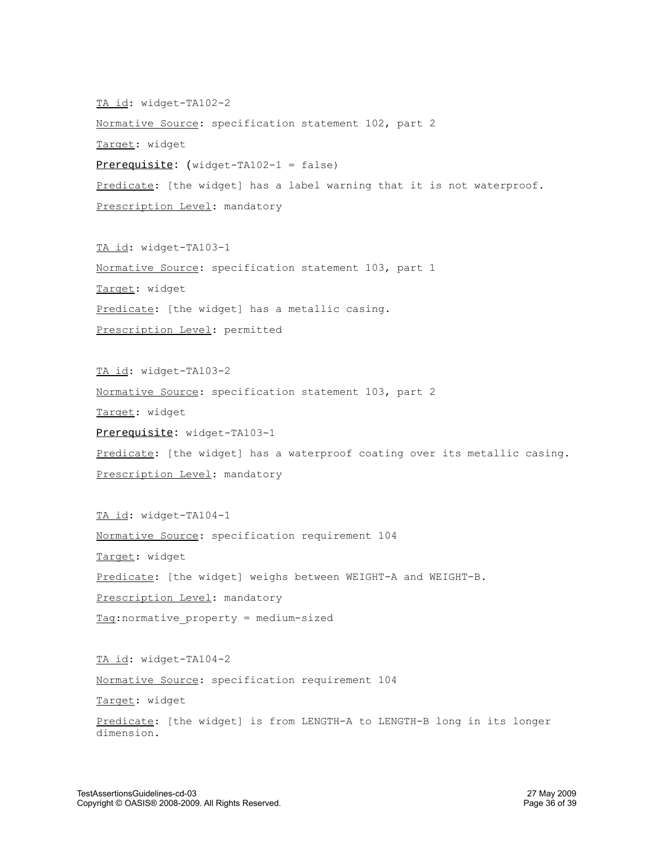TA id: widget-TA102-2 Normative Source: specification statement 102, part 2 Target: widget Prerequisite: (widget-TA102-1 = false) Predicate: [the widget] has a label warning that it is not waterproof. Prescription Level: mandatory

TA id: widget-TA103-1 Normative Source: specification statement 103, part 1 Target: widget Predicate: [the widget] has a metallic casing. Prescription Level: permitted

TA id: widget-TA103-2 Normative Source: specification statement 103, part 2 Target: widget Prerequisite: widget-TA103-1 Predicate: [the widget] has a waterproof coating over its metallic casing. Prescription Level: mandatory

TA id: widget-TA104-1 Normative Source: specification requirement 104 Target: widget Predicate: [the widget] weighs between WEIGHT-A and WEIGHT-B. Prescription Level: mandatory Tag:normative\_property = medium-sized

TA id: widget-TA104-2 Normative Source: specification requirement 104 Target: widget Predicate: [the widget] is from LENGTH-A to LENGTH-B long in its longer dimension.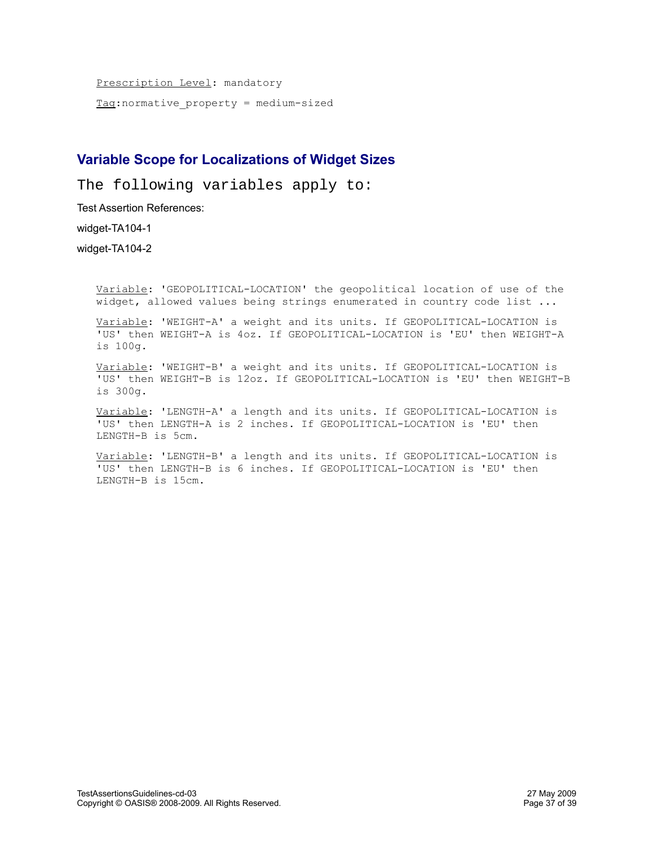Prescription Level: mandatory  $Taq:normative property = medium-sized$ </u>

## **Variable Scope for Localizations of Widget Sizes**

The following variables apply to:

Test Assertion References:

widget-TA104-1

widget-TA104-2

Variable: 'GEOPOLITICAL-LOCATION' the geopolitical location of use of the widget, allowed values being strings enumerated in country code list ...

Variable: 'WEIGHT-A' a weight and its units. If GEOPOLITICAL-LOCATION is 'US' then WEIGHT-A is 4oz. If GEOPOLITICAL-LOCATION is 'EU' then WEIGHT-A is 100g.

Variable: 'WEIGHT-B' a weight and its units. If GEOPOLITICAL-LOCATION is 'US' then WEIGHT-B is 12oz. If GEOPOLITICAL-LOCATION is 'EU' then WEIGHT-B is 300g.

Variable: 'LENGTH-A' a length and its units. If GEOPOLITICAL-LOCATION is 'US' then LENGTH-A is 2 inches. If GEOPOLITICAL-LOCATION is 'EU' then LENGTH-B is 5cm.

Variable: 'LENGTH-B' a length and its units. If GEOPOLITICAL-LOCATION is 'US' then LENGTH-B is 6 inches. If GEOPOLITICAL-LOCATION is 'EU' then LENGTH-B is 15cm.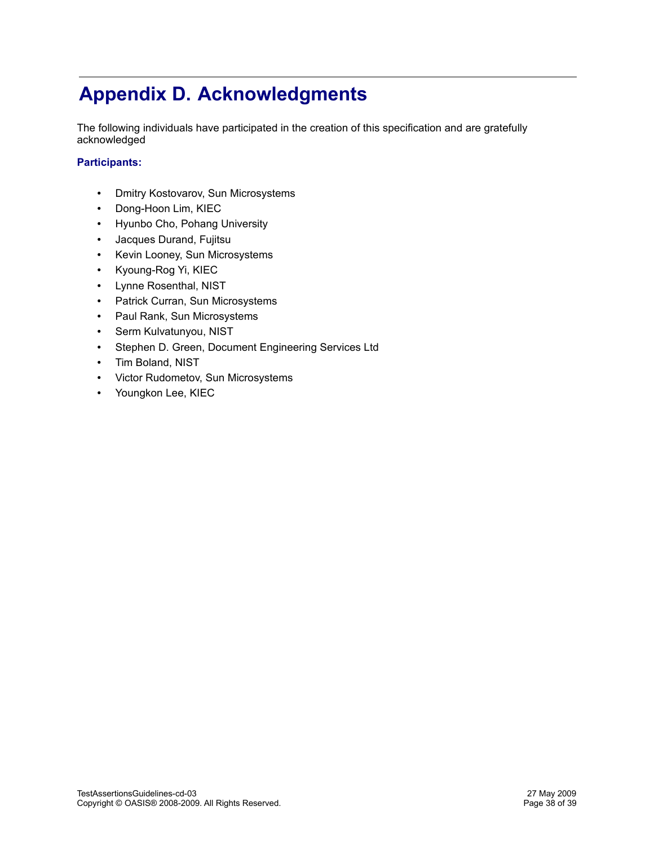# **Appendix D. Acknowledgments**

The following individuals have participated in the creation of this specification and are gratefully acknowledged

#### **Participants:**

- Dmitry Kostovarov, Sun Microsystems
- Dong-Hoon Lim, KIEC
- Hyunbo Cho, Pohang University
- Jacques Durand, Fujitsu
- Kevin Looney, Sun Microsystems
- Kyoung-Rog Yi, KIEC
- Lynne Rosenthal, NIST
- Patrick Curran, Sun Microsystems
- Paul Rank, Sun Microsystems
- Serm Kulvatunyou, NIST
- Stephen D. Green, Document Engineering Services Ltd
- Tim Boland, NIST
- Victor Rudometov, Sun Microsystems
- Youngkon Lee, KIEC